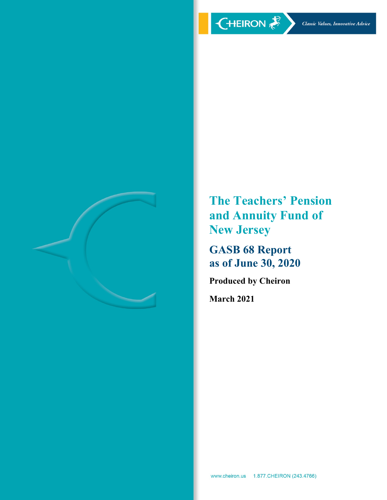

**The Teachers' Pension and Annuity Fund of New Jersey** 

**GASB 68 Report as of June 30, 2020** 

**Produced by Cheiron** 

**March 2021**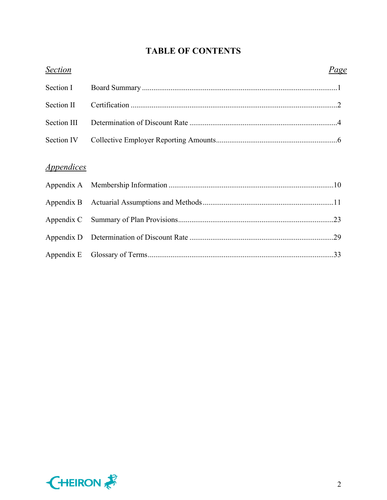# **TABLE OF CONTENTS**

| <b>Section</b>                  | Page |
|---------------------------------|------|
| Section I                       |      |
| Section II                      |      |
| Section III                     |      |
| Section IV                      |      |
| <i><u><b>Appendices</b></u></i> |      |
|                                 |      |
|                                 |      |
|                                 |      |
|                                 |      |
|                                 |      |
|                                 |      |

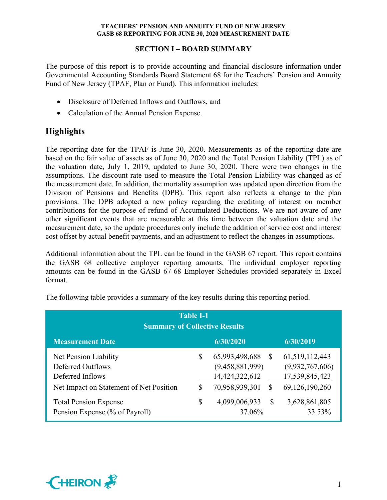## **SECTION I – BOARD SUMMARY**

The purpose of this report is to provide accounting and financial disclosure information under Governmental Accounting Standards Board Statement 68 for the Teachers' Pension and Annuity Fund of New Jersey (TPAF, Plan or Fund). This information includes:

- Disclosure of Deferred Inflows and Outflows, and
- Calculation of the Annual Pension Expense.

# **Highlights**

The reporting date for the TPAF is June 30, 2020. Measurements as of the reporting date are based on the fair value of assets as of June 30, 2020 and the Total Pension Liability (TPL) as of the valuation date, July 1, 2019, updated to June 30, 2020. There were two changes in the assumptions. The discount rate used to measure the Total Pension Liability was changed as of the measurement date. In addition, the mortality assumption was updated upon direction from the Division of Pensions and Benefits (DPB). This report also reflects a change to the plan provisions. The DPB adopted a new policy regarding the crediting of interest on member contributions for the purpose of refund of Accumulated Deductions. We are not aware of any other significant events that are measurable at this time between the valuation date and the measurement date, so the update procedures only include the addition of service cost and interest cost offset by actual benefit payments, and an adjustment to reflect the changes in assumptions.

Additional information about the TPL can be found in the GASB 67 report. This report contains the GASB 68 collective employer reporting amounts. The individual employer reporting amounts can be found in the GASB 67-68 Employer Schedules provided separately in Excel format.

| <b>Table I-1</b><br><b>Summary of Collective Results</b>                                                  |          |                                                                       |        |                                                                          |  |  |  |  |
|-----------------------------------------------------------------------------------------------------------|----------|-----------------------------------------------------------------------|--------|--------------------------------------------------------------------------|--|--|--|--|
| 6/30/2019<br><b>Measurement Date</b><br>6/30/2020                                                         |          |                                                                       |        |                                                                          |  |  |  |  |
| Net Pension Liability<br>Deferred Outflows<br>Deferred Inflows<br>Net Impact on Statement of Net Position | \$<br>\$ | 65,993,498,688<br>(9,458,881,999)<br>14,424,322,612<br>70,958,939,301 | S<br>S | 61, 519, 112, 443<br>(9,932,767,606)<br>17,539,845,423<br>69,126,190,260 |  |  |  |  |
| <b>Total Pension Expense</b><br>Pension Expense (% of Payroll)                                            | \$       | 4,099,006,933<br>37.06%                                               | \$     | 3,628,861,805<br>33.53%                                                  |  |  |  |  |

The following table provides a summary of the key results during this reporting period.

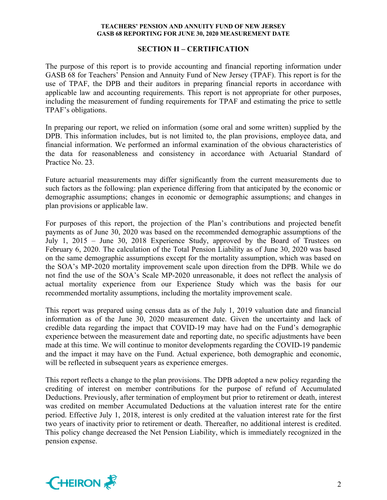#### **SECTION II – CERTIFICATION**

The purpose of this report is to provide accounting and financial reporting information under GASB 68 for Teachers' Pension and Annuity Fund of New Jersey (TPAF). This report is for the use of TPAF, the DPB and their auditors in preparing financial reports in accordance with applicable law and accounting requirements. This report is not appropriate for other purposes, including the measurement of funding requirements for TPAF and estimating the price to settle TPAF's obligations.

In preparing our report, we relied on information (some oral and some written) supplied by the DPB. This information includes, but is not limited to, the plan provisions, employee data, and financial information. We performed an informal examination of the obvious characteristics of the data for reasonableness and consistency in accordance with Actuarial Standard of Practice No. 23.

Future actuarial measurements may differ significantly from the current measurements due to such factors as the following: plan experience differing from that anticipated by the economic or demographic assumptions; changes in economic or demographic assumptions; and changes in plan provisions or applicable law.

For purposes of this report, the projection of the Plan's contributions and projected benefit payments as of June 30, 2020 was based on the recommended demographic assumptions of the July 1, 2015 – June 30, 2018 Experience Study, approved by the Board of Trustees on February 6, 2020. The calculation of the Total Pension Liability as of June 30, 2020 was based on the same demographic assumptions except for the mortality assumption, which was based on the SOA's MP-2020 mortality improvement scale upon direction from the DPB. While we do not find the use of the SOA's Scale MP-2020 unreasonable, it does not reflect the analysis of actual mortality experience from our Experience Study which was the basis for our recommended mortality assumptions, including the mortality improvement scale.

This report was prepared using census data as of the July 1, 2019 valuation date and financial information as of the June 30, 2020 measurement date. Given the uncertainty and lack of credible data regarding the impact that COVID-19 may have had on the Fund's demographic experience between the measurement date and reporting date, no specific adjustments have been made at this time. We will continue to monitor developments regarding the COVID-19 pandemic and the impact it may have on the Fund. Actual experience, both demographic and economic, will be reflected in subsequent years as experience emerges.

This report reflects a change to the plan provisions. The DPB adopted a new policy regarding the crediting of interest on member contributions for the purpose of refund of Accumulated Deductions. Previously, after termination of employment but prior to retirement or death, interest was credited on member Accumulated Deductions at the valuation interest rate for the entire period. Effective July 1, 2018, interest is only credited at the valuation interest rate for the first two years of inactivity prior to retirement or death. Thereafter, no additional interest is credited. This policy change decreased the Net Pension Liability, which is immediately recognized in the pension expense.

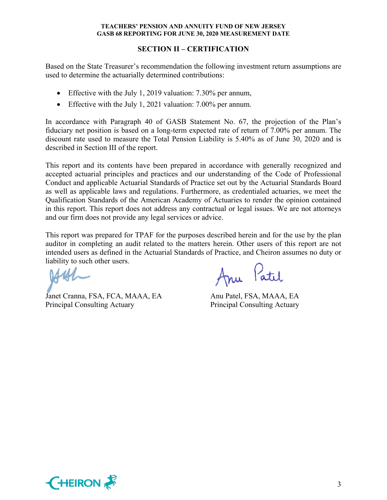### **SECTION II – CERTIFICATION**

Based on the State Treasurer's recommendation the following investment return assumptions are used to determine the actuarially determined contributions:

- Effective with the July 1, 2019 valuation: 7.30% per annum,
- Effective with the July 1, 2021 valuation: 7.00% per annum.

In accordance with Paragraph 40 of GASB Statement No. 67, the projection of the Plan's fiduciary net position is based on a long-term expected rate of return of 7.00% per annum. The discount rate used to measure the Total Pension Liability is 5.40% as of June 30, 2020 and is described in Section III of the report.

This report and its contents have been prepared in accordance with generally recognized and accepted actuarial principles and practices and our understanding of the Code of Professional Conduct and applicable Actuarial Standards of Practice set out by the Actuarial Standards Board as well as applicable laws and regulations. Furthermore, as credentialed actuaries, we meet the Qualification Standards of the American Academy of Actuaries to render the opinion contained in this report. This report does not address any contractual or legal issues. We are not attorneys and our firm does not provide any legal services or advice.

This report was prepared for TPAF for the purposes described herein and for the use by the plan auditor in completing an audit related to the matters herein. Other users of this report are not intended users as defined in the Actuarial Standards of Practice, and Cheiron assumes no duty or liability to such other users.

Janet Cranna, FSA, FCA, MAAA, EA Anu Patel, FSA, MAAA, EA Principal Consulting Actuary Principal Consulting Actuary

Anu Patil

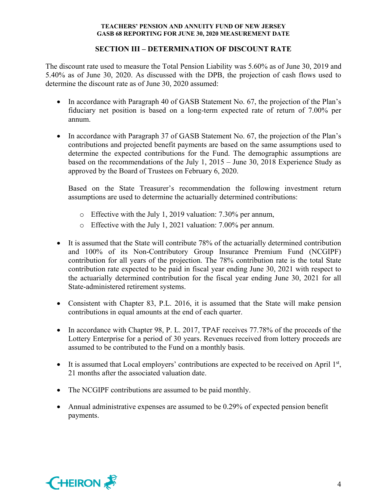## **SECTION III – DETERMINATION OF DISCOUNT RATE**

The discount rate used to measure the Total Pension Liability was 5.60% as of June 30, 2019 and 5.40% as of June 30, 2020. As discussed with the DPB, the projection of cash flows used to determine the discount rate as of June 30, 2020 assumed:

- In accordance with Paragraph 40 of GASB Statement No. 67, the projection of the Plan's fiduciary net position is based on a long-term expected rate of return of 7.00% per annum.
- In accordance with Paragraph 37 of GASB Statement No. 67, the projection of the Plan's contributions and projected benefit payments are based on the same assumptions used to determine the expected contributions for the Fund. The demographic assumptions are based on the recommendations of the July 1, 2015 – June 30, 2018 Experience Study as approved by the Board of Trustees on February 6, 2020.

Based on the State Treasurer's recommendation the following investment return assumptions are used to determine the actuarially determined contributions:

- o Effective with the July 1, 2019 valuation: 7.30% per annum,
- o Effective with the July 1, 2021 valuation: 7.00% per annum.
- It is assumed that the State will contribute 78% of the actuarially determined contribution and 100% of its Non-Contributory Group Insurance Premium Fund (NCGIPF) contribution for all years of the projection. The 78% contribution rate is the total State contribution rate expected to be paid in fiscal year ending June 30, 2021 with respect to the actuarially determined contribution for the fiscal year ending June 30, 2021 for all State-administered retirement systems.
- Consistent with Chapter 83, P.L. 2016, it is assumed that the State will make pension contributions in equal amounts at the end of each quarter.
- In accordance with Chapter 98, P. L. 2017, TPAF receives 77.78% of the proceeds of the Lottery Enterprise for a period of 30 years. Revenues received from lottery proceeds are assumed to be contributed to the Fund on a monthly basis.
- It is assumed that Local employers' contributions are expected to be received on April  $1<sup>st</sup>$ , 21 months after the associated valuation date.
- The NCGIPF contributions are assumed to be paid monthly.
- Annual administrative expenses are assumed to be 0.29% of expected pension benefit payments.

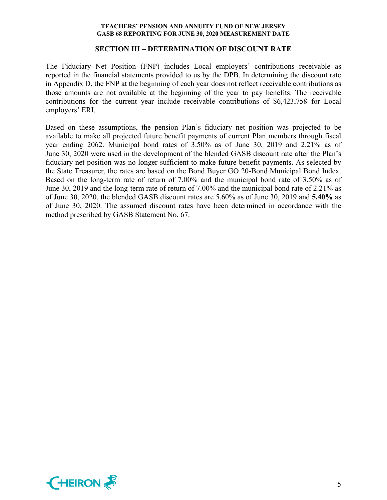#### **SECTION III – DETERMINATION OF DISCOUNT RATE**

The Fiduciary Net Position (FNP) includes Local employers' contributions receivable as reported in the financial statements provided to us by the DPB. In determining the discount rate in Appendix D, the FNP at the beginning of each year does not reflect receivable contributions as those amounts are not available at the beginning of the year to pay benefits. The receivable contributions for the current year include receivable contributions of \$6,423,758 for Local employers' ERI.

Based on these assumptions, the pension Plan's fiduciary net position was projected to be available to make all projected future benefit payments of current Plan members through fiscal year ending 2062. Municipal bond rates of 3.50% as of June 30, 2019 and 2.21% as of June 30, 2020 were used in the development of the blended GASB discount rate after the Plan's fiduciary net position was no longer sufficient to make future benefit payments. As selected by the State Treasurer, the rates are based on the Bond Buyer GO 20-Bond Municipal Bond Index. Based on the long-term rate of return of 7.00% and the municipal bond rate of 3.50% as of June 30, 2019 and the long-term rate of return of 7.00% and the municipal bond rate of 2.21% as of June 30, 2020, the blended GASB discount rates are 5.60% as of June 30, 2019 and **5.40%** as of June 30, 2020. The assumed discount rates have been determined in accordance with the method prescribed by GASB Statement No. 67.

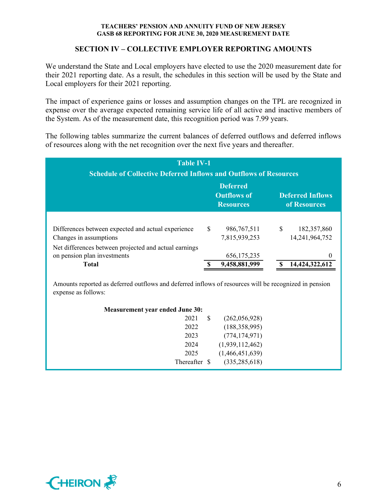#### **SECTION IV – COLLECTIVE EMPLOYER REPORTING AMOUNTS**

We understand the State and Local employers have elected to use the 2020 measurement date for their 2021 reporting date. As a result, the schedules in this section will be used by the State and Local employers for their 2021 reporting.

The impact of experience gains or losses and assumption changes on the TPL are recognized in expense over the average expected remaining service life of all active and inactive members of the System. As of the measurement date, this recognition period was 7.99 years.

The following tables summarize the current balances of deferred outflows and deferred inflows of resources along with the net recognition over the next five years and thereafter.

| <b>Table IV-1</b><br><b>Schedule of Collective Deferred Inflows and Outflows of Resources</b> |    |                                                           |   |                                         |  |  |  |  |
|-----------------------------------------------------------------------------------------------|----|-----------------------------------------------------------|---|-----------------------------------------|--|--|--|--|
|                                                                                               |    | <b>Deferred</b><br><b>Outflows of</b><br><b>Resources</b> |   | <b>Deferred Inflows</b><br>of Resources |  |  |  |  |
| Differences between expected and actual experience<br>Changes in assumptions                  | \$ | 986, 767, 511<br>7,815,939,253                            | S | 182,357,860<br>14,241,964,752           |  |  |  |  |
| Net differences between projected and actual earnings<br>on pension plan investments<br>Total |    | 656, 175, 235<br>9,458,881,999                            |   | $\theta$<br>14,424,322,612              |  |  |  |  |

Amounts reported as deferred outflows and deferred inflows of resources will be recognized in pension expense as follows:

| <b>Measurement year ended June 30:</b> |               |   |                 |
|----------------------------------------|---------------|---|-----------------|
|                                        | 2021          | S | (262,056,928)   |
|                                        | 2022          |   | (188, 358, 995) |
|                                        | 2023          |   | (774, 174, 971) |
|                                        | 2024          |   | (1,939,112,462) |
|                                        | 2025          |   | (1,466,451,639) |
|                                        | Thereafter \$ |   | (335, 285, 618) |
|                                        |               |   |                 |

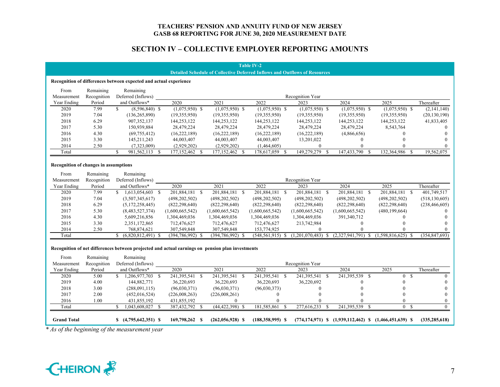#### **SECTION IV – COLLECTIVE EMPLOYER REPORTING AMOUNTS**

|                                                                   |                                                                                                                            |                              |                    |  |                     |      | <b>Table IV-2</b>    |     |                                                                                   |                                                                      |                                |                 |
|-------------------------------------------------------------------|----------------------------------------------------------------------------------------------------------------------------|------------------------------|--------------------|--|---------------------|------|----------------------|-----|-----------------------------------------------------------------------------------|----------------------------------------------------------------------|--------------------------------|-----------------|
|                                                                   |                                                                                                                            |                              |                    |  |                     |      |                      |     | <b>Detailed Schedule of Collective Deferred Inflows and Outflows of Resources</b> |                                                                      |                                |                 |
| Recognition of differences between expected and actual experience |                                                                                                                            |                              |                    |  |                     |      |                      |     |                                                                                   |                                                                      |                                |                 |
| From                                                              | Remaining                                                                                                                  | Remaining                    |                    |  |                     |      |                      |     |                                                                                   |                                                                      |                                |                 |
| Measurement                                                       | Recognition                                                                                                                | Deferred (Inflows)           |                    |  |                     |      |                      |     | Recognition Year                                                                  |                                                                      |                                |                 |
| Year Ending                                                       | Period                                                                                                                     | and Outflows*                | 2020               |  | 2021                |      | 2022                 |     | 2023                                                                              | 2024                                                                 | 2025                           | Thereafter      |
| 2020                                                              | 7.99                                                                                                                       | \$<br>$(8,596,840)$ \$       | $(1,075,950)$ \$   |  | $(1,075,950)$ \$    |      | $(1,075,950)$ \$     |     | $(1,075,950)$ \$                                                                  | $(1,075,950)$ \$                                                     | $(1,075,950)$ \$               | (2,141,140)     |
| 2019                                                              | 7.04                                                                                                                       | (136, 265, 890)              | (19,355,950)       |  | (19,355,950)        |      | (19,355,950)         |     | (19,355,950)                                                                      | (19,355,950)                                                         | (19,355,950)                   | (20, 130, 190)  |
| 2018                                                              | 6.29                                                                                                                       | 907,352,137                  | 144,253,122        |  | 144,253,122         |      | 144,253,122          |     | 144,253,122                                                                       | 144,253,122                                                          | 144,253,122                    | 41,833,405      |
| 2017                                                              | 5.30                                                                                                                       | 150,939,884                  | 28,479,224         |  | 28,479,224          |      | 28,479,224           |     | 28,479,224                                                                        | 28,479,224                                                           | 8,543,764                      | $\theta$        |
| 2016                                                              | 4.30                                                                                                                       | (69, 755, 412)               | (16, 222, 189)     |  | (16, 222, 189)      |      | (16, 222, 189)       |     | (16, 222, 189)                                                                    | (4,866,656)                                                          | $\mathbf{0}$                   | $\Omega$        |
| 2015                                                              | 3.30                                                                                                                       | 145,211,243                  | 44,003,407         |  | 44,003,407          |      | 44,003,407           |     | 13,201,022                                                                        | $\mathbf{0}$                                                         | $\Omega$                       |                 |
| 2014                                                              | 2.50                                                                                                                       | (7,323,009)                  | (2,929,202)        |  | (2,929,202)         |      | (1,464,605)          |     | $\mathbf{0}$                                                                      | $\Omega$                                                             | $\Omega$                       |                 |
| Total                                                             |                                                                                                                            | S<br>981, 562, 113 \$        | 177,152,462 \$     |  | 177,152,462         | - \$ | 178,617,059          | - S | 149,279,279 \$                                                                    | 147,433,790<br>-S                                                    | 132,364,986<br>- \$            | 19,562,075      |
| Recognition of changes in assumptions                             |                                                                                                                            |                              |                    |  |                     |      |                      |     |                                                                                   |                                                                      |                                |                 |
| From                                                              | Remaining                                                                                                                  | Remaining                    |                    |  |                     |      |                      |     |                                                                                   |                                                                      |                                |                 |
| Measurement                                                       | Recognition                                                                                                                | Deferred (Inflows)           |                    |  |                     |      |                      |     | Recognition Year                                                                  |                                                                      |                                |                 |
| Year Ending                                                       | Period                                                                                                                     | and Outflows*                | 2020               |  | 2021                |      | 2022                 |     | 2023                                                                              | 2024                                                                 | 2025                           | Thereafter      |
| 2020                                                              | 7.99                                                                                                                       | $$1,613,054,603$ \$          | 201,884,181 \$     |  | 201,884,181 \$      |      | 201,884,181 \$       |     | 201,884,181 \$                                                                    | 201,884,181 \$                                                       | 201,884,181 \$                 | 401,749,517     |
| 2019                                                              | 7.04                                                                                                                       | (3,507,345,617)              | (498, 202, 502)    |  | (498, 202, 502)     |      | (498, 202, 502)      |     | (498, 202, 502)                                                                   | (498, 202, 502)                                                      | (498, 202, 502)                | (518, 130, 605) |
| 2018                                                              | 6.29                                                                                                                       | (5,172,258,445)              | (822, 298, 640)    |  | (822, 298, 640)     |      | (822, 298, 640)      |     | (822, 298, 640)                                                                   | (822, 298, 640)                                                      | (822, 298, 640)                | (238, 466, 605) |
| 2017                                                              | 5.30                                                                                                                       | (8,483,527,374)              | (1,600,665,542)    |  | (1,600,665,542)     |      | (1,600,665,542)      |     | (1,600,665,542)                                                                   | (1,600,665,542)                                                      | (480, 199, 664)                |                 |
| 2016                                                              | 4.30                                                                                                                       | 5,609,216,856                | 1,304,469,036      |  | 1,304,469,036       |      | 1,304,469,036        |     | 1,304,469,036                                                                     | 391,340,712                                                          | $\mathbf{0}$                   |                 |
| 2015                                                              | 3.30                                                                                                                       | 2,351,172,865                | 712,476,627        |  | 712,476,627         |      | 712,476,627          |     | 213,742,984                                                                       | $\mathbf{0}$                                                         | $\Omega$                       |                 |
| 2014                                                              | 2.50                                                                                                                       | 768,874,621                  | 307,549,848        |  | 307,549,848         |      | 153,774,925          |     | $\overline{0}$                                                                    | $\Omega$                                                             | $\Omega$                       | $\Omega$        |
| Total                                                             |                                                                                                                            | \$.<br>$(6,820,812,491)$ \$  | $(394,786,992)$ \$ |  | $(394,786,992)$ \$  |      | $(548, 561, 915)$ \$ |     | (1,201,070,483)<br><sup>\$</sup>                                                  | $(2,327,941,791)$ \$                                                 | $(1,598,816,625)$ \$           | (354, 847, 693) |
| From                                                              | Recognition of net differences between projected and actual earnings on pension plan investments<br>Remaining<br>Remaining |                              |                    |  |                     |      |                      |     |                                                                                   |                                                                      |                                |                 |
| Measurement                                                       | Recognition                                                                                                                | Deferred (Inflows)           |                    |  |                     |      |                      |     | Recognition Year                                                                  |                                                                      |                                |                 |
| Year Ending                                                       | Period                                                                                                                     | and Outflows*                | 2020               |  | 2021                |      | 2022                 |     | 2023                                                                              | 2024                                                                 | 2025                           | Thereafter      |
| 2020                                                              | 5.00                                                                                                                       | 1,206,977,703 \$<br>S.       | 241,395,541 \$     |  | 241,395,541 \$      |      | 241,395,541 \$       |     | 241,395,541 \$                                                                    | 241,395,539 \$                                                       | <sup>S</sup><br>$\overline{0}$ | $\theta$        |
| 2019                                                              | 4.00                                                                                                                       | 144,882,771                  | 36,220,693         |  | 36,220,693          |      | 36,220,693           |     | 36,220,692                                                                        | $\Omega$                                                             | $\Omega$                       | $\Omega$        |
| 2018                                                              | 3.00                                                                                                                       | (288,091,115)                | (96,030,371)       |  | (96,030,371)        |      | (96,030,373)         |     | $\mathbf{0}$                                                                      | $\Omega$                                                             | $\mathbf{0}$                   | $\Omega$        |
| 2017                                                              | 2.00                                                                                                                       | (452, 016, 524)              | (226,008,263)      |  | (226,008,261)       |      | $\boldsymbol{0}$     |     | $\Omega$                                                                          | $\Omega$                                                             | $\theta$                       | $\Omega$        |
| 2016                                                              | 1.00                                                                                                                       | 431,855,192                  | 431,855,192        |  | $\Omega$            |      | $\Omega$             |     | $\Omega$                                                                          | $\Omega$                                                             | $\theta$                       | $\overline{0}$  |
| Total                                                             |                                                                                                                            | 1,043,608,027<br>\$.<br>- \$ | 387,432,792 \$     |  | $(44, 422, 398)$ \$ |      | 181,585,861          | -S  | 277,616,233<br>-S                                                                 | 241,395,539<br><sup>\$</sup>                                         | 0 S                            | $\theta$        |
| <b>Grand Total</b><br>$c \cdot t = t$                             | $\mathcal{C}$ , $\mathcal{I}$                                                                                              | $$(4,795,642,351)$ \\$       | 169,798,262 \$     |  | $(262,056,928)$ \$  |      | $(188,358,995)$ \$   |     |                                                                                   | $(774, 174, 971)$ \$ $(1, 939, 112, 462)$ \$ $(1, 466, 451, 639)$ \$ |                                | (335, 285, 618) |

*\* As of the beginning of the measurement year*

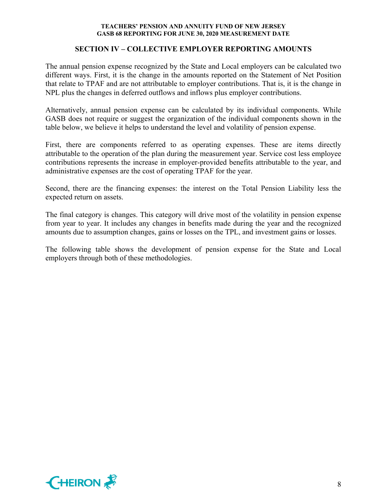### **SECTION IV – COLLECTIVE EMPLOYER REPORTING AMOUNTS**

The annual pension expense recognized by the State and Local employers can be calculated two different ways. First, it is the change in the amounts reported on the Statement of Net Position that relate to TPAF and are not attributable to employer contributions. That is, it is the change in NPL plus the changes in deferred outflows and inflows plus employer contributions.

Alternatively, annual pension expense can be calculated by its individual components. While GASB does not require or suggest the organization of the individual components shown in the table below, we believe it helps to understand the level and volatility of pension expense.

First, there are components referred to as operating expenses. These are items directly attributable to the operation of the plan during the measurement year. Service cost less employee contributions represents the increase in employer-provided benefits attributable to the year, and administrative expenses are the cost of operating TPAF for the year.

Second, there are the financing expenses: the interest on the Total Pension Liability less the expected return on assets.

The final category is changes. This category will drive most of the volatility in pension expense from year to year. It includes any changes in benefits made during the year and the recognized amounts due to assumption changes, gains or losses on the TPL, and investment gains or losses.

The following table shows the development of pension expense for the State and Local employers through both of these methodologies.

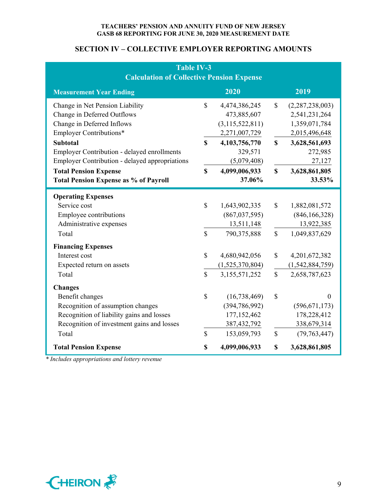## **SECTION IV – COLLECTIVE EMPLOYER REPORTING AMOUNTS**

| <b>Table IV-3</b><br><b>Calculation of Collective Pension Expense</b>                                                                                                               |                                           |                                                                                                     |                                    |                                                                                                     |  |  |  |  |
|-------------------------------------------------------------------------------------------------------------------------------------------------------------------------------------|-------------------------------------------|-----------------------------------------------------------------------------------------------------|------------------------------------|-----------------------------------------------------------------------------------------------------|--|--|--|--|
| <b>Measurement Year Ending</b>                                                                                                                                                      |                                           | 2020                                                                                                |                                    | 2019                                                                                                |  |  |  |  |
| Change in Net Pension Liability<br>Change in Deferred Outflows<br>Change in Deferred Inflows<br><b>Employer Contributions*</b>                                                      | $\mathbf S$                               | 4,474,386,245<br>473,885,607<br>(3, 115, 522, 811)<br>2,271,007,729                                 | $\mathbb{S}$                       | (2,287,238,003)<br>2,541,231,264<br>1,359,071,784<br>2,015,496,648                                  |  |  |  |  |
| <b>Subtotal</b><br>Employer Contribution - delayed enrollments<br>Employer Contribution - delayed appropriations                                                                    | $\mathbf S$                               | 4,103,756,770<br>329,571<br>(5,079,408)                                                             | $\mathbf S$                        | 3,628,561,693<br>272,985<br>27,127                                                                  |  |  |  |  |
| <b>Total Pension Expense</b><br><b>Total Pension Expense as % of Payroll</b>                                                                                                        | $\mathbf S$                               | 4,099,006,933<br>37.06%                                                                             | $\mathbf S$                        | 3,628,861,805<br>33.53%                                                                             |  |  |  |  |
| <b>Operating Expenses</b><br>Service cost<br>Employee contributions<br>Administrative expenses<br>Total<br><b>Financing Expenses</b><br>Interest cost<br>Expected return on assets  | $\mathbf S$<br>$\mathbf S$<br>$\mathbf S$ | 1,643,902,335<br>(867, 037, 595)<br>13,511,148<br>790, 375, 888<br>4,680,942,056<br>(1,525,370,804) | $\mathbb{S}$<br>$\mathbb{S}$<br>\$ | 1,882,081,572<br>(846, 166, 328)<br>13,922,385<br>1,049,837,629<br>4,201,672,382<br>(1,542,884,759) |  |  |  |  |
| Total<br><b>Changes</b><br>Benefit changes<br>Recognition of assumption changes<br>Recognition of liability gains and losses<br>Recognition of investment gains and losses<br>Total | $\mathbf S$<br>$\mathbb{S}$<br>\$         | 3,155,571,252<br>(16, 738, 469)<br>(394, 786, 992)<br>177,152,462<br>387, 432, 792<br>153,059,793   | $\mathbb{S}$<br>\$<br>\$           | 2,658,787,623<br>$\Omega$<br>(596, 671, 173)<br>178,228,412<br>338,679,314<br>(79, 763, 447)        |  |  |  |  |
| <b>Total Pension Expense</b>                                                                                                                                                        | \$                                        | 4,099,006,933                                                                                       | \$                                 | 3,628,861,805                                                                                       |  |  |  |  |

*\* Includes appropriations and lottery revenue*

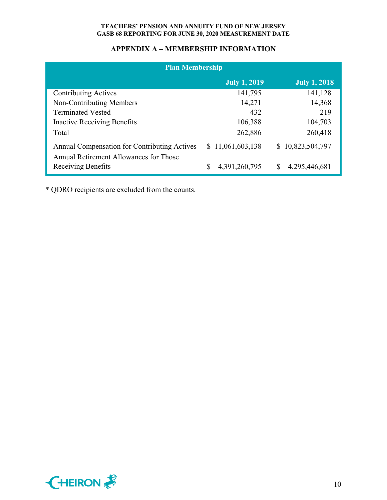## **APPENDIX A – MEMBERSHIP INFORMATION**

| <b>Plan Membership</b>                                       |                     |                     |  |  |  |  |  |  |
|--------------------------------------------------------------|---------------------|---------------------|--|--|--|--|--|--|
|                                                              | <b>July 1, 2019</b> | <b>July 1, 2018</b> |  |  |  |  |  |  |
| <b>Contributing Actives</b>                                  | 141,795             | 141,128             |  |  |  |  |  |  |
| Non-Contributing Members                                     | 14,271              | 14,368              |  |  |  |  |  |  |
| <b>Terminated Vested</b>                                     | 432                 | 219                 |  |  |  |  |  |  |
| <b>Inactive Receiving Benefits</b>                           | 106,388             | 104,703             |  |  |  |  |  |  |
| Total                                                        | 262,886             | 260,418             |  |  |  |  |  |  |
| Annual Compensation for Contributing Actives                 | \$11,061,603,138    | \$10,823,504,797    |  |  |  |  |  |  |
| Annual Retirement Allowances for Those<br>Receiving Benefits | 4,391,260,795<br>S  | S<br>4,295,446,681  |  |  |  |  |  |  |

\* QDRO recipients are excluded from the counts.

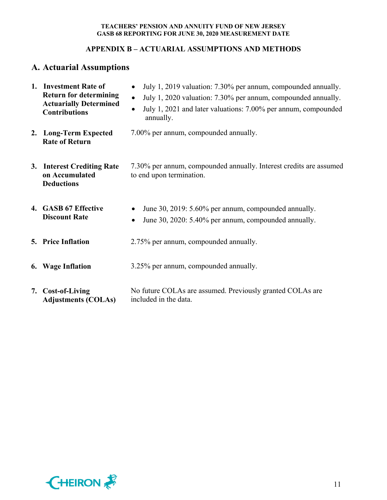## **APPENDIX B – ACTUARIAL ASSUMPTIONS AND METHODS**

# **A. Actuarial Assumptions**

| 1. Investment Rate of<br><b>Return for determining</b><br><b>Actuarially Determined</b><br><b>Contributions</b> | July 1, 2019 valuation: 7.30% per annum, compounded annually.<br>$\bullet$<br>July 1, 2020 valuation: 7.30% per annum, compounded annually.<br>$\bullet$<br>July 1, 2021 and later valuations: 7.00% per annum, compounded<br>$\bullet$<br>annually. |
|-----------------------------------------------------------------------------------------------------------------|------------------------------------------------------------------------------------------------------------------------------------------------------------------------------------------------------------------------------------------------------|
| 2. Long-Term Expected<br><b>Rate of Return</b>                                                                  | 7.00% per annum, compounded annually.                                                                                                                                                                                                                |
| 3. Interest Crediting Rate<br>on Accumulated<br><b>Deductions</b>                                               | 7.30% per annum, compounded annually. Interest credits are assumed<br>to end upon termination.                                                                                                                                                       |
| 4. GASB 67 Effective<br><b>Discount Rate</b>                                                                    | June 30, 2019: 5.60% per annum, compounded annually.<br>$\bullet$<br>June 30, 2020: 5.40% per annum, compounded annually.<br>$\bullet$                                                                                                               |
| <b>5. Price Inflation</b>                                                                                       | 2.75% per annum, compounded annually.                                                                                                                                                                                                                |
| 6. Wage Inflation                                                                                               | 3.25% per annum, compounded annually.                                                                                                                                                                                                                |
| 7. Cost-of-Living<br><b>Adjustments (COLAs)</b>                                                                 | No future COLAs are assumed. Previously granted COLAs are<br>included in the data.                                                                                                                                                                   |

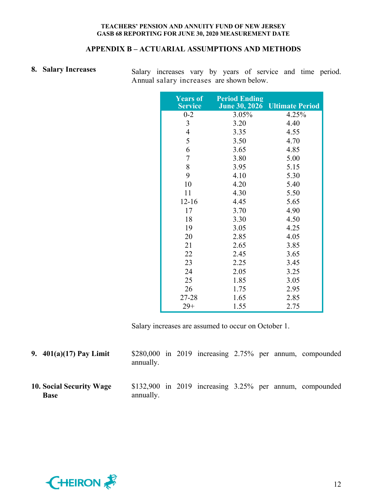## **APPENDIX B – ACTUARIAL ASSUMPTIONS AND METHODS**

8. Salary Increases Salary increases vary by years of service and time period. Annual salary increases are shown below.

| <b>Years of</b><br><b>Service</b> | <b>Period Ending</b><br><b>June 30, 2026</b> | <b>Ultimate Period</b> |
|-----------------------------------|----------------------------------------------|------------------------|
| $0 - 2$                           | 3.05%                                        | 4.25%                  |
| 3                                 | 3.20                                         | 4.40                   |
| 4                                 | 3.35                                         | 4.55                   |
| 5                                 | 3.50                                         | 4.70                   |
| 6                                 | 3.65                                         | 4.85                   |
| $\sqrt{ }$                        | 3.80                                         | 5.00                   |
| 8                                 | 3.95                                         | 5.15                   |
| 9                                 | 4.10                                         | 5.30                   |
| 10                                | 4.20                                         | 5.40                   |
| 11                                | 4.30                                         | 5.50                   |
| $12 - 16$                         | 4.45                                         | 5.65                   |
| 17                                | 3.70                                         | 4.90                   |
| 18                                | 3.30                                         | 4.50                   |
| 19                                | 3.05                                         | 4.25                   |
| 20                                | 2.85                                         | 4.05                   |
| 21                                | 2.65                                         | 3.85                   |
| 22                                | 2.45                                         | 3.65                   |
| 23                                | 2.25                                         | 3.45                   |
| 24                                | 2.05                                         | 3.25                   |
| 25                                | 1.85                                         | 3.05                   |
| 26                                | 1.75                                         | 2.95                   |
| 27-28                             | 1.65                                         | 2.85                   |
| $29+$                             | 1.55                                         | 2.75                   |

Salary increases are assumed to occur on October 1.

| 9. $401(a)(17)$ Pay Limit               | annually. |  |  |  | $$280,000$ in $2019$ increasing $2.75\%$ per annum, compounded |
|-----------------------------------------|-----------|--|--|--|----------------------------------------------------------------|
| 10. Social Security Wage<br><b>Base</b> | annually. |  |  |  | $$132,900$ in 2019 increasing 3.25% per annum, compounded      |

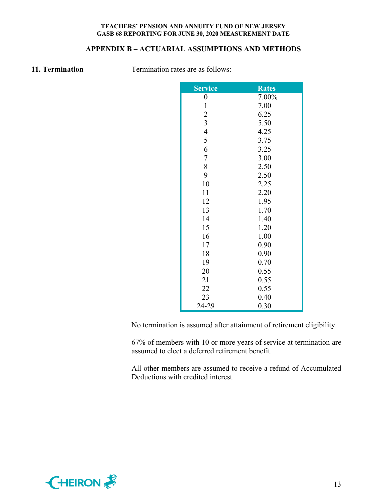## **APPENDIX B – ACTUARIAL ASSUMPTIONS AND METHODS**

**11. Termination Termination rates are as follows:** 

| <b>Service</b>   | <b>Rates</b> |
|------------------|--------------|
| $\boldsymbol{0}$ | 7.00%        |
| $\mathbf{1}$     | 7.00         |
| $\overline{c}$   | 6.25         |
| $\overline{3}$   | 5.50         |
| $\overline{4}$   | 4.25         |
| 5                | 3.75         |
| 6                | 3.25         |
| $\overline{7}$   | 3.00         |
| 8                | 2.50         |
| 9                | 2.50         |
| 10               | 2.25         |
| 11               | 2.20         |
| 12               | 1.95         |
| 13               | 1.70         |
| 14               | 1.40         |
| 15               | 1.20         |
| 16               | 1.00         |
| 17               | 0.90         |
| 18               | 0.90         |
| 19               | 0.70         |
| 20               | 0.55         |
| 21               | 0.55         |
| 22               | 0.55         |
| 23               | 0.40         |
| 24-29            | 0.30         |

No termination is assumed after attainment of retirement eligibility.

67% of members with 10 or more years of service at termination are assumed to elect a deferred retirement benefit.

All other members are assumed to receive a refund of Accumulated Deductions with credited interest.

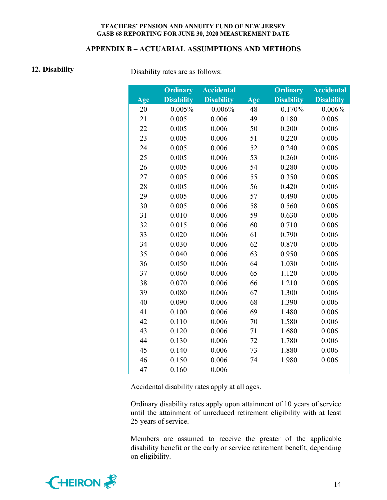#### **APPENDIX B – ACTUARIAL ASSUMPTIONS AND METHODS**

**12. Disability Disability Disability** rates are as follows:

|     | <b>Ordinary</b>   | <b>Accidental</b> |     | <b>Ordinary</b>   | <b>Accidental</b> |
|-----|-------------------|-------------------|-----|-------------------|-------------------|
| Age | <b>Disability</b> | <b>Disability</b> | Age | <b>Disability</b> | <b>Disability</b> |
| 20  | 0.005%            | 0.006%            | 48  | 0.170%            | 0.006%            |
| 21  | 0.005             | 0.006             | 49  | 0.180             | 0.006             |
| 22  | 0.005             | 0.006             | 50  | 0.200             | 0.006             |
| 23  | 0.005             | 0.006             | 51  | 0.220             | 0.006             |
| 24  | 0.005             | 0.006             | 52  | 0.240             | 0.006             |
| 25  | 0.005             | 0.006             | 53  | 0.260             | 0.006             |
| 26  | 0.005             | 0.006             | 54  | 0.280             | 0.006             |
| 27  | 0.005             | 0.006             | 55  | 0.350             | 0.006             |
| 28  | 0.005             | 0.006             | 56  | 0.420             | 0.006             |
| 29  | 0.005             | 0.006             | 57  | 0.490             | 0.006             |
| 30  | 0.005             | 0.006             | 58  | 0.560             | 0.006             |
| 31  | 0.010             | 0.006             | 59  | 0.630             | 0.006             |
| 32  | 0.015             | 0.006             | 60  | 0.710             | 0.006             |
| 33  | 0.020             | 0.006             | 61  | 0.790             | 0.006             |
| 34  | 0.030             | 0.006             | 62  | 0.870             | 0.006             |
| 35  | 0.040             | 0.006             | 63  | 0.950             | 0.006             |
| 36  | 0.050             | 0.006             | 64  | 1.030             | 0.006             |
| 37  | 0.060             | 0.006             | 65  | 1.120             | 0.006             |
| 38  | 0.070             | 0.006             | 66  | 1.210             | 0.006             |
| 39  | 0.080             | 0.006             | 67  | 1.300             | 0.006             |
| 40  | 0.090             | 0.006             | 68  | 1.390             | 0.006             |
| 41  | 0.100             | 0.006             | 69  | 1.480             | 0.006             |
| 42  | 0.110             | 0.006             | 70  | 1.580             | 0.006             |
| 43  | 0.120             | 0.006             | 71  | 1.680             | 0.006             |
| 44  | 0.130             | 0.006             | 72  | 1.780             | 0.006             |
| 45  | 0.140             | 0.006             | 73  | 1.880             | 0.006             |
| 46  | 0.150             | 0.006             | 74  | 1.980             | 0.006             |
| 47  | 0.160             | 0.006             |     |                   |                   |

Accidental disability rates apply at all ages.

Ordinary disability rates apply upon attainment of 10 years of service until the attainment of unreduced retirement eligibility with at least 25 years of service.

Members are assumed to receive the greater of the applicable disability benefit or the early or service retirement benefit, depending on eligibility.

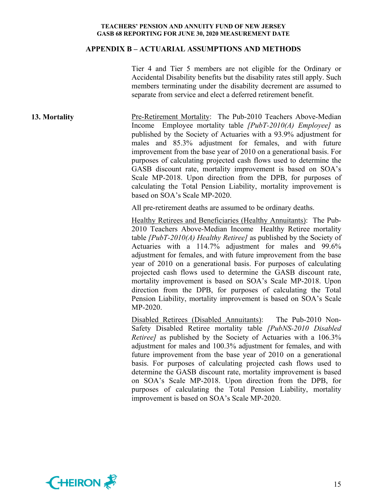#### **APPENDIX B – ACTUARIAL ASSUMPTIONS AND METHODS**

Tier 4 and Tier 5 members are not eligible for the Ordinary or Accidental Disability benefits but the disability rates still apply. Such members terminating under the disability decrement are assumed to separate from service and elect a deferred retirement benefit.

**13. Mortality Pre-Retirement Mortality:** The Pub-2010 Teachers Above-Median Income Employee mortality table *[PubT-2010(A) Employee]* as published by the Society of Actuaries with a 93.9% adjustment for males and 85.3% adjustment for females, and with future improvement from the base year of 2010 on a generational basis. For purposes of calculating projected cash flows used to determine the GASB discount rate, mortality improvement is based on SOA's Scale MP-2018. Upon direction from the DPB, for purposes of calculating the Total Pension Liability, mortality improvement is based on SOA's Scale MP-2020.

All pre-retirement deaths are assumed to be ordinary deaths.

Healthy Retirees and Beneficiaries (Healthy Annuitants): The Pub-2010 Teachers Above-Median Income Healthy Retiree mortality table *[PubT-2010(A) Healthy Retiree]* as published by the Society of Actuaries with a 114.7% adjustment for males and 99.6% adjustment for females, and with future improvement from the base year of 2010 on a generational basis. For purposes of calculating projected cash flows used to determine the GASB discount rate, mortality improvement is based on SOA's Scale MP-2018. Upon direction from the DPB, for purposes of calculating the Total Pension Liability, mortality improvement is based on SOA's Scale MP-2020.

Disabled Retirees (Disabled Annuitants): The Pub-2010 Non-Safety Disabled Retiree mortality table *[PubNS-2010 Disabled Retiree]* as published by the Society of Actuaries with a 106.3% adjustment for males and 100.3% adjustment for females, and with future improvement from the base year of 2010 on a generational basis. For purposes of calculating projected cash flows used to determine the GASB discount rate, mortality improvement is based on SOA's Scale MP-2018. Upon direction from the DPB, for purposes of calculating the Total Pension Liability, mortality improvement is based on SOA's Scale MP-2020.

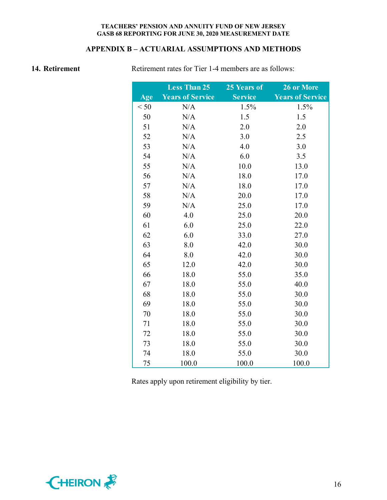## **APPENDIX B – ACTUARIAL ASSUMPTIONS AND METHODS**

**14. Retirement Retirement rates for Tier 1-4 members are as follows:** 

|      | <b>Less Than 25</b>     | 25 Years of    | 26 or More              |
|------|-------------------------|----------------|-------------------------|
| Age  | <b>Years of Service</b> | <b>Service</b> | <b>Years of Service</b> |
| < 50 | N/A                     | 1.5%           | 1.5%                    |
| 50   | N/A                     | 1.5            | 1.5                     |
| 51   | N/A                     | 2.0            | 2.0                     |
| 52   | N/A                     | 3.0            | 2.5                     |
| 53   | N/A                     | 4.0            | 3.0                     |
| 54   | N/A                     | 6.0            | 3.5                     |
| 55   | N/A                     | 10.0           | 13.0                    |
| 56   | N/A                     | 18.0           | 17.0                    |
| 57   | N/A                     | 18.0           | 17.0                    |
| 58   | N/A                     | 20.0           | 17.0                    |
| 59   | N/A                     | 25.0           | 17.0                    |
| 60   | 4.0                     | 25.0           | 20.0                    |
| 61   | 6.0                     | 25.0           | 22.0                    |
| 62   | 6.0                     | 33.0           | 27.0                    |
| 63   | 8.0                     | 42.0           | 30.0                    |
| 64   | 8.0                     | 42.0           | 30.0                    |
| 65   | 12.0                    | 42.0           | 30.0                    |
| 66   | 18.0                    | 55.0           | 35.0                    |
| 67   | 18.0                    | 55.0           | 40.0                    |
| 68   | 18.0                    | 55.0           | 30.0                    |
| 69   | 18.0                    | 55.0           | 30.0                    |
| 70   | 18.0                    | 55.0           | 30.0                    |
| 71   | 18.0                    | 55.0           | 30.0                    |
| 72   | 18.0                    | 55.0           | 30.0                    |
| 73   | 18.0                    | 55.0           | 30.0                    |
| 74   | 18.0                    | 55.0           | 30.0                    |
| 75   | 100.0                   | 100.0          | 100.0                   |

Rates apply upon retirement eligibility by tier.

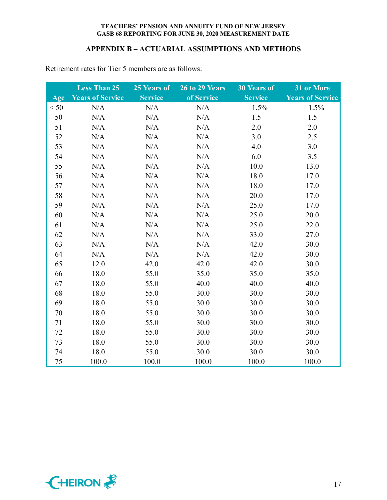#### **APPENDIX B – ACTUARIAL ASSUMPTIONS AND METHODS**

|      | <b>Less Than 25</b>     | 25 Years of    | 26 to 29 Years | <b>30 Years of</b> | 31 or More              |
|------|-------------------------|----------------|----------------|--------------------|-------------------------|
| Age  | <b>Years of Service</b> | <b>Service</b> | of Service     | <b>Service</b>     | <b>Years of Service</b> |
| < 50 | N/A                     | N/A            | N/A            | 1.5%               | 1.5%                    |
| 50   | N/A                     | N/A            | N/A            | 1.5                | 1.5                     |
| 51   | N/A                     | N/A            | N/A            | 2.0                | 2.0                     |
| 52   | N/A                     | N/A            | N/A            | 3.0                | 2.5                     |
| 53   | N/A                     | N/A            | N/A            | 4.0                | 3.0                     |
| 54   | N/A                     | N/A            | N/A            | 6.0                | 3.5                     |
| 55   | N/A                     | N/A            | N/A            | 10.0               | 13.0                    |
| 56   | N/A                     | N/A            | N/A            | 18.0               | 17.0                    |
| 57   | N/A                     | N/A            | N/A            | 18.0               | 17.0                    |
| 58   | N/A                     | N/A            | N/A            | 20.0               | 17.0                    |
| 59   | N/A                     | N/A            | N/A            | 25.0               | 17.0                    |
| 60   | N/A                     | N/A            | N/A            | 25.0               | 20.0                    |
| 61   | N/A                     | N/A            | N/A            | 25.0               | 22.0                    |
| 62   | N/A                     | N/A            | N/A            | 33.0               | 27.0                    |
| 63   | N/A                     | N/A            | N/A            | 42.0               | 30.0                    |
| 64   | N/A                     | N/A            | N/A            | 42.0               | 30.0                    |
| 65   | 12.0                    | 42.0           | 42.0           | 42.0               | 30.0                    |
| 66   | 18.0                    | 55.0           | 35.0           | 35.0               | 35.0                    |
| 67   | 18.0                    | 55.0           | 40.0           | 40.0               | 40.0                    |
| 68   | 18.0                    | 55.0           | 30.0           | 30.0               | 30.0                    |
| 69   | 18.0                    | 55.0           | 30.0           | 30.0               | 30.0                    |
| 70   | 18.0                    | 55.0           | 30.0           | 30.0               | 30.0                    |
| 71   | 18.0                    | 55.0           | 30.0           | 30.0               | 30.0                    |
| 72   | 18.0                    | 55.0           | 30.0           | 30.0               | 30.0                    |
| 73   | 18.0                    | 55.0           | 30.0           | 30.0               | 30.0                    |
| 74   | 18.0                    | 55.0           | 30.0           | 30.0               | 30.0                    |
| 75   | 100.0                   | 100.0          | 100.0          | 100.0              | 100.0                   |

Retirement rates for Tier 5 members are as follows:

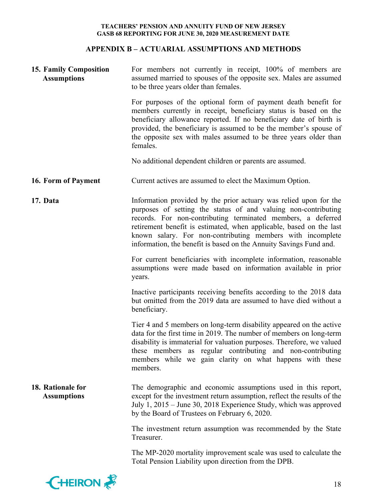## **APPENDIX B – ACTUARIAL ASSUMPTIONS AND METHODS**

| <b>15. Family Composition</b><br><b>Assumptions</b> | For members not currently in receipt, 100% of members are<br>assumed married to spouses of the opposite sex. Males are assumed<br>to be three years older than females.                                                                                                                                                                                                                                        |  |  |  |
|-----------------------------------------------------|----------------------------------------------------------------------------------------------------------------------------------------------------------------------------------------------------------------------------------------------------------------------------------------------------------------------------------------------------------------------------------------------------------------|--|--|--|
|                                                     | For purposes of the optional form of payment death benefit for<br>members currently in receipt, beneficiary status is based on the<br>beneficiary allowance reported. If no beneficiary date of birth is<br>provided, the beneficiary is assumed to be the member's spouse of<br>the opposite sex with males assumed to be three years older than<br>females.                                                  |  |  |  |
|                                                     | No additional dependent children or parents are assumed.                                                                                                                                                                                                                                                                                                                                                       |  |  |  |
| 16. Form of Payment                                 | Current actives are assumed to elect the Maximum Option.                                                                                                                                                                                                                                                                                                                                                       |  |  |  |
| 17. Data                                            | Information provided by the prior actuary was relied upon for the<br>purposes of setting the status of and valuing non-contributing<br>records. For non-contributing terminated members, a deferred<br>retirement benefit is estimated, when applicable, based on the last<br>known salary. For non-contributing members with incomplete<br>information, the benefit is based on the Annuity Savings Fund and. |  |  |  |
|                                                     | For current beneficiaries with incomplete information, reasonable<br>assumptions were made based on information available in prior<br>years.                                                                                                                                                                                                                                                                   |  |  |  |
|                                                     | Inactive participants receiving benefits according to the 2018 data<br>but omitted from the 2019 data are assumed to have died without a<br>beneficiary.                                                                                                                                                                                                                                                       |  |  |  |
|                                                     | Tier 4 and 5 members on long-term disability appeared on the active<br>data for the first time in 2019. The number of members on long-term<br>disability is immaterial for valuation purposes. Therefore, we valued<br>these members as regular contributing and non-contributing<br>members while we gain clarity on what happens with these<br>members.                                                      |  |  |  |
| 18. Rationale for<br><b>Assumptions</b>             | The demographic and economic assumptions used in this report,<br>except for the investment return assumption, reflect the results of the<br>July 1, 2015 – June 30, 2018 Experience Study, which was approved<br>by the Board of Trustees on February 6, 2020.                                                                                                                                                 |  |  |  |
|                                                     | The investment return assumption was recommended by the State<br>Treasurer.                                                                                                                                                                                                                                                                                                                                    |  |  |  |
|                                                     | The MP-2020 mortality improvement scale was used to calculate the<br>Total Pension Liability upon direction from the DPB.                                                                                                                                                                                                                                                                                      |  |  |  |
| <b>EHEIRON</b>                                      | 18                                                                                                                                                                                                                                                                                                                                                                                                             |  |  |  |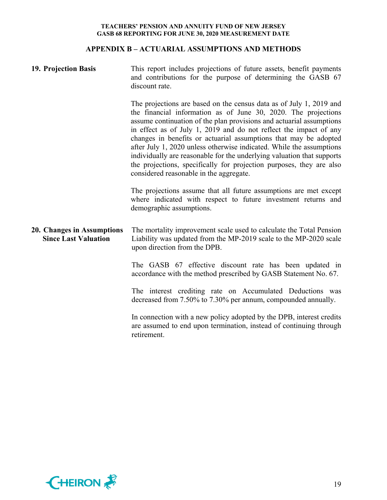### **APPENDIX B – ACTUARIAL ASSUMPTIONS AND METHODS**

| 19. Projection Basis                                      | This report includes projections of future assets, benefit payments<br>and contributions for the purpose of determining the GASB 67<br>discount rate.                                                                                                                                                                                                                                                                                                                                                                                                                                                                       |  |  |  |
|-----------------------------------------------------------|-----------------------------------------------------------------------------------------------------------------------------------------------------------------------------------------------------------------------------------------------------------------------------------------------------------------------------------------------------------------------------------------------------------------------------------------------------------------------------------------------------------------------------------------------------------------------------------------------------------------------------|--|--|--|
|                                                           | The projections are based on the census data as of July 1, 2019 and<br>the financial information as of June 30, 2020. The projections<br>assume continuation of the plan provisions and actuarial assumptions<br>in effect as of July 1, 2019 and do not reflect the impact of any<br>changes in benefits or actuarial assumptions that may be adopted<br>after July 1, 2020 unless otherwise indicated. While the assumptions<br>individually are reasonable for the underlying valuation that supports<br>the projections, specifically for projection purposes, they are also<br>considered reasonable in the aggregate. |  |  |  |
|                                                           | The projections assume that all future assumptions are met except<br>where indicated with respect to future investment returns and<br>demographic assumptions.                                                                                                                                                                                                                                                                                                                                                                                                                                                              |  |  |  |
| 20. Changes in Assumptions<br><b>Since Last Valuation</b> | The mortality improvement scale used to calculate the Total Pension<br>Liability was updated from the MP-2019 scale to the MP-2020 scale<br>upon direction from the DPB.                                                                                                                                                                                                                                                                                                                                                                                                                                                    |  |  |  |
|                                                           | The GASB 67 effective discount rate has been updated in<br>accordance with the method prescribed by GASB Statement No. 67.                                                                                                                                                                                                                                                                                                                                                                                                                                                                                                  |  |  |  |
|                                                           | The interest crediting rate on Accumulated Deductions was<br>decreased from 7.50% to 7.30% per annum, compounded annually.                                                                                                                                                                                                                                                                                                                                                                                                                                                                                                  |  |  |  |
|                                                           | In connection with a new policy adopted by the DPB, interest credits<br>are assumed to end upon termination, instead of continuing through<br>retirement.                                                                                                                                                                                                                                                                                                                                                                                                                                                                   |  |  |  |

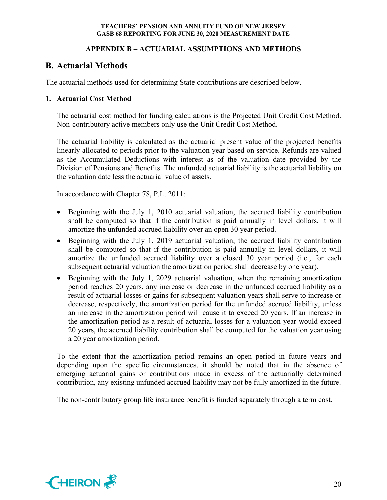## **APPENDIX B – ACTUARIAL ASSUMPTIONS AND METHODS**

# **B. Actuarial Methods**

The actuarial methods used for determining State contributions are described below.

## **1. Actuarial Cost Method**

The actuarial cost method for funding calculations is the Projected Unit Credit Cost Method. Non-contributory active members only use the Unit Credit Cost Method.

The actuarial liability is calculated as the actuarial present value of the projected benefits linearly allocated to periods prior to the valuation year based on service. Refunds are valued as the Accumulated Deductions with interest as of the valuation date provided by the Division of Pensions and Benefits. The unfunded actuarial liability is the actuarial liability on the valuation date less the actuarial value of assets.

In accordance with Chapter 78, P.L. 2011:

- Beginning with the July 1, 2010 actuarial valuation, the accrued liability contribution shall be computed so that if the contribution is paid annually in level dollars, it will amortize the unfunded accrued liability over an open 30 year period.
- Beginning with the July 1, 2019 actuarial valuation, the accrued liability contribution shall be computed so that if the contribution is paid annually in level dollars, it will amortize the unfunded accrued liability over a closed 30 year period (i.e., for each subsequent actuarial valuation the amortization period shall decrease by one year).
- Beginning with the July 1, 2029 actuarial valuation, when the remaining amortization period reaches 20 years, any increase or decrease in the unfunded accrued liability as a result of actuarial losses or gains for subsequent valuation years shall serve to increase or decrease, respectively, the amortization period for the unfunded accrued liability, unless an increase in the amortization period will cause it to exceed 20 years. If an increase in the amortization period as a result of actuarial losses for a valuation year would exceed 20 years, the accrued liability contribution shall be computed for the valuation year using a 20 year amortization period.

To the extent that the amortization period remains an open period in future years and depending upon the specific circumstances, it should be noted that in the absence of emerging actuarial gains or contributions made in excess of the actuarially determined contribution, any existing unfunded accrued liability may not be fully amortized in the future.

The non-contributory group life insurance benefit is funded separately through a term cost.

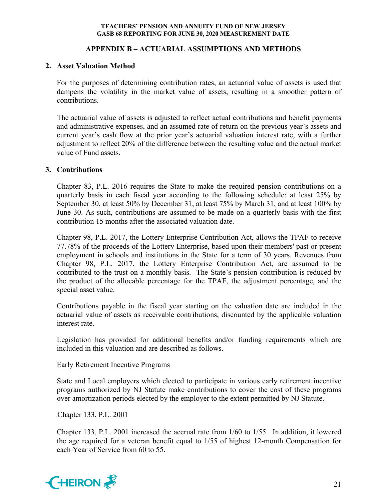## **APPENDIX B – ACTUARIAL ASSUMPTIONS AND METHODS**

### **2. Asset Valuation Method**

For the purposes of determining contribution rates, an actuarial value of assets is used that dampens the volatility in the market value of assets, resulting in a smoother pattern of contributions.

The actuarial value of assets is adjusted to reflect actual contributions and benefit payments and administrative expenses, and an assumed rate of return on the previous year's assets and current year's cash flow at the prior year's actuarial valuation interest rate, with a further adjustment to reflect 20% of the difference between the resulting value and the actual market value of Fund assets.

## **3. Contributions**

Chapter 83, P.L. 2016 requires the State to make the required pension contributions on a quarterly basis in each fiscal year according to the following schedule: at least 25% by September 30, at least 50% by December 31, at least 75% by March 31, and at least 100% by June 30. As such, contributions are assumed to be made on a quarterly basis with the first contribution 15 months after the associated valuation date.

Chapter 98, P.L. 2017, the Lottery Enterprise Contribution Act, allows the TPAF to receive 77.78% of the proceeds of the Lottery Enterprise, based upon their members' past or present employment in schools and institutions in the State for a term of 30 years. Revenues from Chapter 98, P.L. 2017, the Lottery Enterprise Contribution Act, are assumed to be contributed to the trust on a monthly basis. The State's pension contribution is reduced by the product of the allocable percentage for the TPAF, the adjustment percentage, and the special asset value.

Contributions payable in the fiscal year starting on the valuation date are included in the actuarial value of assets as receivable contributions, discounted by the applicable valuation interest rate.

Legislation has provided for additional benefits and/or funding requirements which are included in this valuation and are described as follows.

#### Early Retirement Incentive Programs

State and Local employers which elected to participate in various early retirement incentive programs authorized by NJ Statute make contributions to cover the cost of these programs over amortization periods elected by the employer to the extent permitted by NJ Statute.

#### Chapter 133, P.L. 2001

Chapter 133, P.L. 2001 increased the accrual rate from 1/60 to 1/55. In addition, it lowered the age required for a veteran benefit equal to 1/55 of highest 12-month Compensation for each Year of Service from 60 to 55.

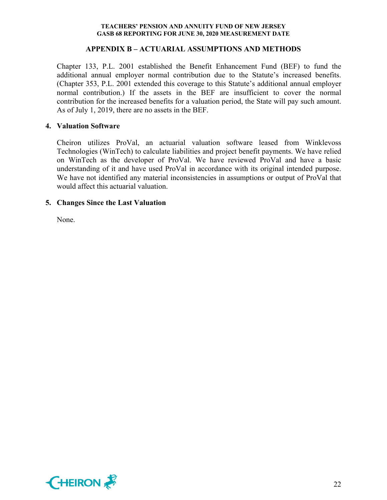#### **APPENDIX B – ACTUARIAL ASSUMPTIONS AND METHODS**

Chapter 133, P.L. 2001 established the Benefit Enhancement Fund (BEF) to fund the additional annual employer normal contribution due to the Statute's increased benefits. (Chapter 353, P.L. 2001 extended this coverage to this Statute's additional annual employer normal contribution.) If the assets in the BEF are insufficient to cover the normal contribution for the increased benefits for a valuation period, the State will pay such amount. As of July 1, 2019, there are no assets in the BEF.

#### **4. Valuation Software**

Cheiron utilizes ProVal, an actuarial valuation software leased from Winklevoss Technologies (WinTech) to calculate liabilities and project benefit payments. We have relied on WinTech as the developer of ProVal. We have reviewed ProVal and have a basic understanding of it and have used ProVal in accordance with its original intended purpose. We have not identified any material inconsistencies in assumptions or output of ProVal that would affect this actuarial valuation.

## **5. Changes Since the Last Valuation**

None.

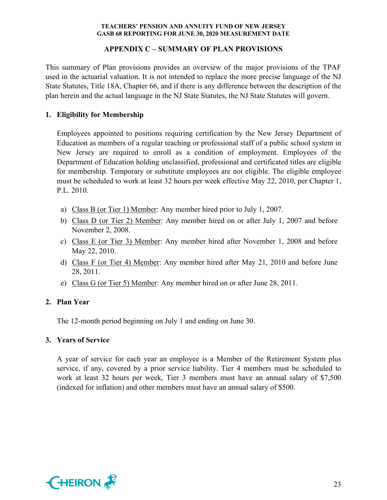## **APPENDIX C – SUMMARY OF PLAN PROVISIONS**

This summary of Plan provisions provides an overview of the major provisions of the TPAF used in the actuarial valuation. It is not intended to replace the more precise language of the NJ State Statutes, Title 18A, Chapter 66, and if there is any difference between the description of the plan herein and the actual language in the NJ State Statutes, the NJ State Statutes will govern.

## **1. Eligibility for Membership**

Employees appointed to positions requiring certification by the New Jersey Department of Education as members of a regular teaching or professional staff of a public school system in New Jersey are required to enroll as a condition of employment. Employees of the Department of Education holding unclassified, professional and certificated titles are eligible for membership. Temporary or substitute employees are not eligible. The eligible employee must be scheduled to work at least 32 hours per week effective May 22, 2010, per Chapter 1, P.L. 2010.

- a) Class B (or Tier 1) Member: Any member hired prior to July 1, 2007.
- b) Class D (or Tier 2) Member: Any member hired on or after July 1, 2007 and before November 2, 2008.
- c) Class E (or Tier 3) Member: Any member hired after November 1, 2008 and before May 22, 2010.
- d) Class F (or Tier 4) Member: Any member hired after May 21, 2010 and before June 28, 2011.
- e) Class G (or Tier 5) Member: Any member hired on or after June 28, 2011.

## **2. Plan Year**

The 12-month period beginning on July 1 and ending on June 30.

## **3. Years of Service**

A year of service for each year an employee is a Member of the Retirement System plus service, if any, covered by a prior service liability. Tier 4 members must be scheduled to work at least 32 hours per week, Tier 3 members must have an annual salary of \$7,500 (indexed for inflation) and other members must have an annual salary of \$500.

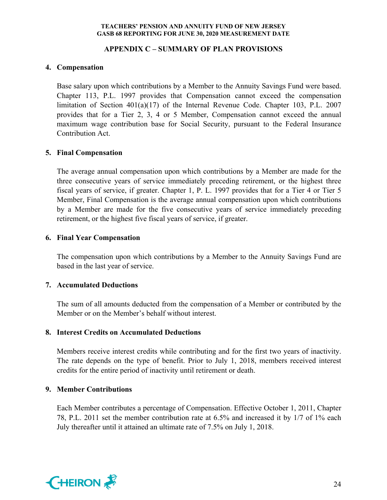## **APPENDIX C – SUMMARY OF PLAN PROVISIONS**

## **4. Compensation**

Base salary upon which contributions by a Member to the Annuity Savings Fund were based. Chapter 113, P.L. 1997 provides that Compensation cannot exceed the compensation limitation of Section 401(a)(17) of the Internal Revenue Code. Chapter 103, P.L. 2007 provides that for a Tier 2, 3, 4 or 5 Member, Compensation cannot exceed the annual maximum wage contribution base for Social Security, pursuant to the Federal Insurance Contribution Act.

## **5. Final Compensation**

The average annual compensation upon which contributions by a Member are made for the three consecutive years of service immediately preceding retirement, or the highest three fiscal years of service, if greater. Chapter 1, P. L. 1997 provides that for a Tier 4 or Tier 5 Member, Final Compensation is the average annual compensation upon which contributions by a Member are made for the five consecutive years of service immediately preceding retirement, or the highest five fiscal years of service, if greater.

## **6. Final Year Compensation**

The compensation upon which contributions by a Member to the Annuity Savings Fund are based in the last year of service.

## **7. Accumulated Deductions**

The sum of all amounts deducted from the compensation of a Member or contributed by the Member or on the Member's behalf without interest.

#### **8. Interest Credits on Accumulated Deductions**

Members receive interest credits while contributing and for the first two years of inactivity. The rate depends on the type of benefit. Prior to July 1, 2018, members received interest credits for the entire period of inactivity until retirement or death.

#### **9. Member Contributions**

Each Member contributes a percentage of Compensation. Effective October 1, 2011, Chapter 78, P.L. 2011 set the member contribution rate at 6.5% and increased it by 1/7 of 1% each July thereafter until it attained an ultimate rate of 7.5% on July 1, 2018.

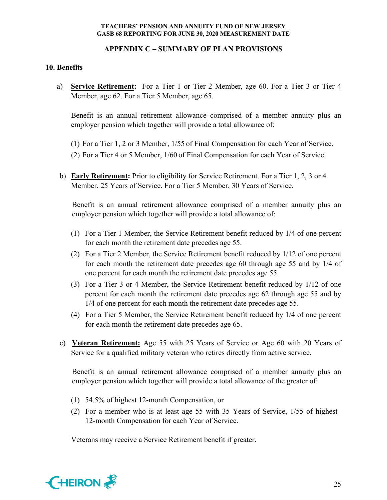## **APPENDIX C – SUMMARY OF PLAN PROVISIONS**

## **10. Benefits**

a) **Service Retirement:** For a Tier 1 or Tier 2 Member, age 60. For a Tier 3 or Tier 4 Member, age 62. For a Tier 5 Member, age 65.

Benefit is an annual retirement allowance comprised of a member annuity plus an employer pension which together will provide a total allowance of:

(1) For a Tier 1, 2 or 3 Member, 1/55 of Final Compensation for each Year of Service.

- (2) For a Tier 4 or 5 Member, 1/60 of Final Compensation for each Year of Service.
- b) **Early Retirement:** Prior to eligibility for Service Retirement. For a Tier 1, 2, 3 or 4 Member, 25 Years of Service. For a Tier 5 Member, 30 Years of Service.

Benefit is an annual retirement allowance comprised of a member annuity plus an employer pension which together will provide a total allowance of:

- (1) For a Tier 1 Member, the Service Retirement benefit reduced by 1/4 of one percent for each month the retirement date precedes age 55.
- (2) For a Tier 2 Member, the Service Retirement benefit reduced by 1/12 of one percent for each month the retirement date precedes age 60 through age 55 and by 1/4 of one percent for each month the retirement date precedes age 55.
- (3) For a Tier 3 or 4 Member, the Service Retirement benefit reduced by 1/12 of one percent for each month the retirement date precedes age 62 through age 55 and by 1/4 of one percent for each month the retirement date precedes age 55.
- (4) For a Tier 5 Member, the Service Retirement benefit reduced by 1/4 of one percent for each month the retirement date precedes age 65.
- c) **Veteran Retirement:** Age 55 with 25 Years of Service or Age 60 with 20 Years of Service for a qualified military veteran who retires directly from active service.

Benefit is an annual retirement allowance comprised of a member annuity plus an employer pension which together will provide a total allowance of the greater of:

- (1) 54.5% of highest 12-month Compensation, or
- (2) For a member who is at least age 55 with 35 Years of Service, 1/55 of highest 12-month Compensation for each Year of Service.

Veterans may receive a Service Retirement benefit if greater.

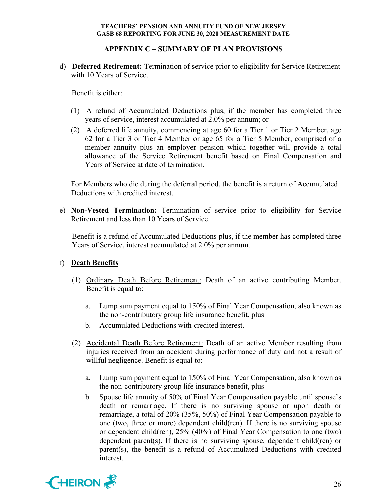## **APPENDIX C – SUMMARY OF PLAN PROVISIONS**

d) **Deferred Retirement:** Termination of service prior to eligibility for Service Retirement with 10 Years of Service.

Benefit is either:

- (1) A refund of Accumulated Deductions plus, if the member has completed three years of service, interest accumulated at 2.0% per annum; or
- (2) A deferred life annuity, commencing at age 60 for a Tier 1 or Tier 2 Member, age 62 for a Tier 3 or Tier 4 Member or age 65 for a Tier 5 Member, comprised of a member annuity plus an employer pension which together will provide a total allowance of the Service Retirement benefit based on Final Compensation and Years of Service at date of termination.

For Members who die during the deferral period, the benefit is a return of Accumulated Deductions with credited interest.

e) **Non-Vested Termination:** Termination of service prior to eligibility for Service Retirement and less than 10 Years of Service.

Benefit is a refund of Accumulated Deductions plus, if the member has completed three Years of Service, interest accumulated at 2.0% per annum.

#### f) **Death Benefits**

- (1) Ordinary Death Before Retirement: Death of an active contributing Member. Benefit is equal to:
	- a. Lump sum payment equal to 150% of Final Year Compensation, also known as the non-contributory group life insurance benefit, plus
	- b. Accumulated Deductions with credited interest.
- (2) Accidental Death Before Retirement: Death of an active Member resulting from injuries received from an accident during performance of duty and not a result of willful negligence. Benefit is equal to:
	- a. Lump sum payment equal to 150% of Final Year Compensation, also known as the non-contributory group life insurance benefit, plus
	- b. Spouse life annuity of 50% of Final Year Compensation payable until spouse's death or remarriage. If there is no surviving spouse or upon death or remarriage, a total of 20% (35%, 50%) of Final Year Compensation payable to one (two, three or more) dependent child(ren). If there is no surviving spouse or dependent child(ren), 25% (40%) of Final Year Compensation to one (two) dependent parent(s). If there is no surviving spouse, dependent child(ren) or parent(s), the benefit is a refund of Accumulated Deductions with credited interest.

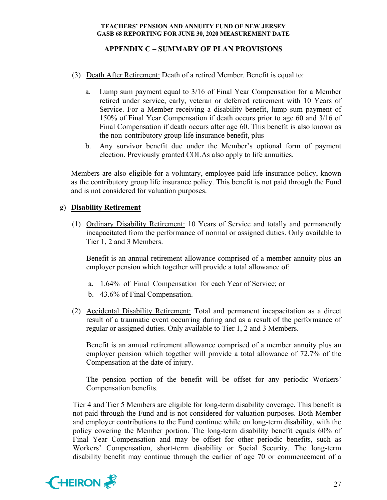## **APPENDIX C – SUMMARY OF PLAN PROVISIONS**

- (3) Death After Retirement: Death of a retired Member. Benefit is equal to:
	- a. Lump sum payment equal to 3/16 of Final Year Compensation for a Member retired under service, early, veteran or deferred retirement with 10 Years of Service. For a Member receiving a disability benefit, lump sum payment of 150% of Final Year Compensation if death occurs prior to age 60 and 3/16 of Final Compensation if death occurs after age 60. This benefit is also known as the non-contributory group life insurance benefit, plus
	- b. Any survivor benefit due under the Member's optional form of payment election. Previously granted COLAs also apply to life annuities.

Members are also eligible for a voluntary, employee-paid life insurance policy, known as the contributory group life insurance policy. This benefit is not paid through the Fund and is not considered for valuation purposes.

#### g) **Disability Retirement**

(1) Ordinary Disability Retirement: 10 Years of Service and totally and permanently incapacitated from the performance of normal or assigned duties. Only available to Tier 1, 2 and 3 Members.

Benefit is an annual retirement allowance comprised of a member annuity plus an employer pension which together will provide a total allowance of:

- a. 1.64% of Final Compensation for each Year of Service; or
- b. 43.6% of Final Compensation.
- (2) Accidental Disability Retirement: Total and permanent incapacitation as a direct result of a traumatic event occurring during and as a result of the performance of regular or assigned duties. Only available to Tier 1, 2 and 3 Members.

Benefit is an annual retirement allowance comprised of a member annuity plus an employer pension which together will provide a total allowance of 72.7% of the Compensation at the date of injury.

The pension portion of the benefit will be offset for any periodic Workers' Compensation benefits.

Tier 4 and Tier 5 Members are eligible for long-term disability coverage. This benefit is not paid through the Fund and is not considered for valuation purposes. Both Member and employer contributions to the Fund continue while on long-term disability, with the policy covering the Member portion. The long-term disability benefit equals 60% of Final Year Compensation and may be offset for other periodic benefits, such as Workers' Compensation, short-term disability or Social Security. The long-term disability benefit may continue through the earlier of age 70 or commencement of a

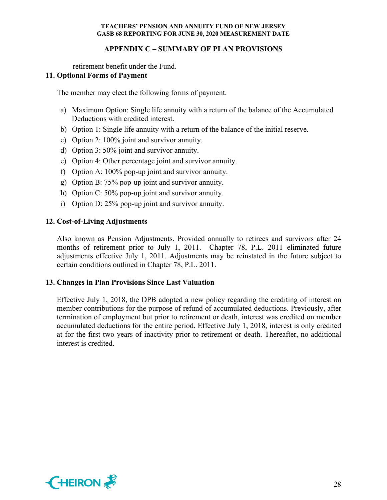## **APPENDIX C – SUMMARY OF PLAN PROVISIONS**

retirement benefit under the Fund.

## **11. Optional Forms of Payment**

The member may elect the following forms of payment.

- a) Maximum Option: Single life annuity with a return of the balance of the Accumulated Deductions with credited interest.
- b) Option 1: Single life annuity with a return of the balance of the initial reserve.
- c) Option 2: 100% joint and survivor annuity.
- d) Option 3: 50% joint and survivor annuity.
- e) Option 4: Other percentage joint and survivor annuity.
- f) Option A: 100% pop-up joint and survivor annuity.
- g) Option B: 75% pop-up joint and survivor annuity.
- h) Option C: 50% pop-up joint and survivor annuity.
- i) Option D: 25% pop-up joint and survivor annuity.

## **12. Cost-of-Living Adjustments**

Also known as Pension Adjustments. Provided annually to retirees and survivors after 24 months of retirement prior to July 1, 2011. Chapter 78, P.L. 2011 eliminated future adjustments effective July 1, 2011. Adjustments may be reinstated in the future subject to certain conditions outlined in Chapter 78, P.L. 2011.

## **13. Changes in Plan Provisions Since Last Valuation**

Effective July 1, 2018, the DPB adopted a new policy regarding the crediting of interest on member contributions for the purpose of refund of accumulated deductions. Previously, after termination of employment but prior to retirement or death, interest was credited on member accumulated deductions for the entire period. Effective July 1, 2018, interest is only credited at for the first two years of inactivity prior to retirement or death. Thereafter, no additional interest is credited.

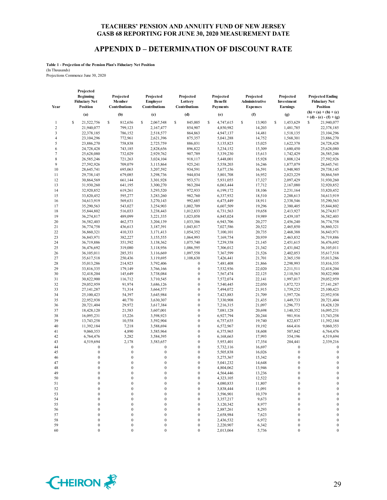#### **APPENDIX D – DETERMINATION OF DISCOUNT RATE**

**Table 1 - Projection of the Pension Plan's Fiduciary Net Position** (In Thousands) Projections Commence June 30, 2020

**Year Projected Beginning Fiduciary Net Position Projected Member Contributions Projected Employer Contributions Projected Lottery Contributions Projected Benefit Payments Projected Administrative Expenses Projected Investment Earnings Projected Ending Fiduciary Net Position**<br>(**h**) = (**a**) + (**b**) + (**c**) (a) (b) (c) (d) (e) (f)  $\binom{p}{k} = \binom{a}{k} + \binom{b}{k} + \binom{c}{k}$ **+ (d) - (e) - (f) + (g)** 1 \ \$ 21,522,756 \ \$ 812,656 \ \$ 2,067,548 \ \$ 845,005 \ \$ 4,747,615 \ \$ 13,903 \ \$ 1,453,629 \ \$ 21,940,077 2 21,940,077 799,123 2,167,477 854,907 4,850,982 14,203 1,481,785 22,378,185 3 22,378,185 786,152 2,518,577 864,863 4,947,137 14,481 1,518,135 23,104,296 4 23,104,296 772,961 2,621,396 875,357 5,041,288 14,752 1,568,301 23,886,270 5 23,886,270 758,838 2,725,759 886,031 5,135,823 15,025 1,622,378 24,728,428 6 24,728,428 743,185 2,828,656 896,822 5,234,152 15,309 1,680,450 25,628,080 7 25,628,080 732,029 2,929,762 907,789 5,339,230 15,613 1,742,429 26,585,246 8 26,585,246 721,263 3,024,104 918,117 5,448,001 15,928 1,808,124 27,592,926 9 27,592,926 709,079 3,115,864 925,241 5,558,203 16,246 1,877,079 28,645,741 10 28,645,741 695,063 3,207,592 934,591 5,677,156 16,591 1,948,905 29,738,145 11 29,738,145 679,085 3,298,736 944,034 5,801,708 16,952 2,023,229 30,864,569 12 30,864,569 661,144 3,301,928 953,571 5,931,055 17,327 2,097,429 31,930,260 13 31,930,260 641,195 3,300,270 963,204 6,063,444 17,712 2,167,080 32,920,852 14 32,920,852 619,261 3,293,520 972,933 6,199,172 18,106 2,231,164 33,820,452 15 33,820,452 595,277 3,283,260 982,760 6,337,932 18,510 2,288,613 34,613,919 16 34,613,919 569,631 3,270,143 992,685 6,475,449 18,911 2,338,546 35,290,563 17 35,290,563 543,027 3,254,903 1,002,709 6,607,509 19,296 2,380,405 35,844,802 18 35,844,802 516,033 3,238,443 1,012,833 6,731,563 19,658 2,413,927 36,274,817 19 36,274,817 489,099 3,221,335 1,023,058 6,845,024 19,989 2,439,107 36,582,403 20 36,582,403 462,573 3,204,139 1,033,386 6,943,706 20,277 2,456,240 36,774,758 21 36,774,758 436,613 3,187,391 1,043,817 7,027,586 20,522 2,465,850 36,860,321 22 36,860,321 410,333 3,171,413 1,054,352 7,100,101 20,735 2,468,388 36,843,971 23 36,843,971 382,227 3,155,555 1,064,993 7,169,754 20,939 2,463,832 36,719,886 24 36,719,886 351,592 3,138,362 1,075,740 7,239,358 21,145 2,451,615 36,476,692 25 36,476,692 319,080 3,118,956 1,086,595 7,306,012 21,342 2,431,042 36,105,011 26 36,105,011 285,351 3,116,669 1,097,558 7,367,599 21,526 2,402,053 35,617,518 27 35,617,518 250,436 3,119,695 1,108,630 7,426,441 21,701 2,365,150 35,013,286 28 35,013,286 214,923 3,792,406 0 7,481,408 21,866 2,298,993 33,816,335 29 33,816,335 179,149 3,766,166 0 7,532,936 22,020 2,211,511 32,418,204 30 32,418,204 145,649 3,738,084 0 7,567,474 22,125 2,110,563 30,822,900 31 30,822,900 116,712 3,710,545 0 7,572,074 22,141 1,997,017 29,052,959 32 29,052,959 91,974 3,686,126 0 7,540,445 22,050 1,872,723 27,141,287 33 27,141,287 71,314 3,664,577 0 7,494,072 21,915 1,739,232 25,100,423 34 25,100,423 54,397 3,645,984 0 7,423,883 21,709 1,597,726 22,952,938 35 22,952,938 40,770 3,630,307 0 7,330,908 21,435 1,449,733 20,721,404 36 20,721,404 29,972 3,617,384 0 7,216,315 21,097 1,296,773 18,428,120 37 18,428,120 21,583 3,607,001 0 7,081,128 20,698 1,140,352 16,095,231 38 16,095,231 15,226 3,598,923 0 6,927,794 20,244 981,916 13,743,258 39 13,743,258 10,558 3,592,904 0 6,757,635 19,740 822,837 11,392,184 40 11,392,184 7,218 3,588,694 0 6,572,967 19,192 664,416 9,060,353 41 9,060,353 4,890 3,585,964 0 6,375,965 18,608 507,842 6,764,476 42 6,764,476 3,282 3,584,395 0 6,168,663 17,993 354,196 4,519,694 43 4,519,694 2,178 3,583,657 0 5,953,401 17,354 204,441 2,339,216 44 0 0 0 0 0 5,732,116 16,697 0 0 45 0 0 0 0 0 5,505,838 16,026 0 0 0 46 0 0 0 0 0 5,275,367 15,342 0 0 47 0 0 0 0 0 5,041,232 14,648 0 0 48 0 0 0 0 0 4,804,062 13,946 0 0 0 49 0 0 0 0 0 4,564,446 13,236 0 0 0  $50$  0 0 0 0  $4,323,105$  12,522 0 0 51 0 0 0 0 4,080,833 11,807 0 0  $52$  0 0 0 0 3,838,444 11,091 0 0 53 0 0 0 0 0 3,596,901 10,379 0 0 0 54 0 0 0 0 0 3,357,217 9,673 0 0 55 0 0 0 0 0 3,120,342 8,977 0 0 56 0 0 0 0 0 2,887,261 8,293 0 0 57 0 0 0 0 0 2,658,984 7,623 0 0 58 0 0 0 0 0 2,436,532 6,972 0 0 59 0 0 0 0 0 2,220,907 6,342 0 0 60 0 0 0 0 2,013,064 5,736 0 0

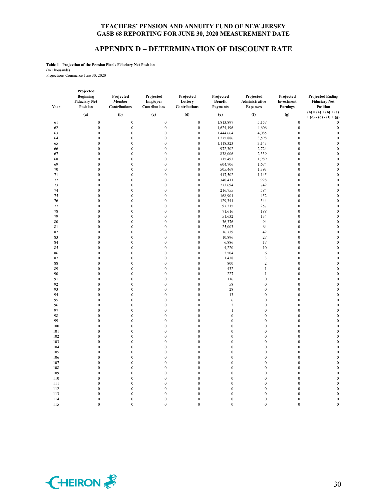#### **APPENDIX D – DETERMINATION OF DISCOUNT RATE**

**Table 1 - Projection of the Pension Plan's Fiduciary Net Position** (In Thousands) Projections Commence June 30, 2020

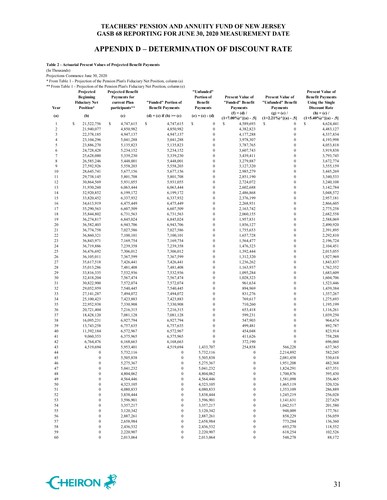#### **APPENDIX D – DETERMINATION OF DISCOUNT RATE**

**Table 2 - Actuarial Present Values of Projected Benefit Payments**

(In Thousands)

Projections Commence June 30, 2020

\* From Table 1 - Projection of the Pension Plan's Fiduciary Net Position, column (a) \*\* From Table 1 - Projection of the Pension Plan's Fiduciary Net Position, column (e)

| Year           | Projected<br>Beginning<br><b>Fiduciary Net</b><br>Position* | <b>Projected Benefit</b><br><b>Payments</b> for<br>current Plan<br>participants** | "Funded" Portion of<br><b>Benefit Payments</b> | "Unfunded"<br>Portion of<br><b>Benefit</b><br><b>Payments</b> | <b>Present Value of</b><br>"Funded" Benefit<br><b>Payments</b><br>$(f) = (d) /$ | <b>Present Value of</b><br>"Unfunded" Benefit<br><b>Payments</b><br>$(g) = (e) /$ | <b>Present Value of</b><br><b>Benefit Payments</b><br><b>Using the Single</b><br><b>Discount Rate</b><br>$(h) = (c) /$ |
|----------------|-------------------------------------------------------------|-----------------------------------------------------------------------------------|------------------------------------------------|---------------------------------------------------------------|---------------------------------------------------------------------------------|-----------------------------------------------------------------------------------|------------------------------------------------------------------------------------------------------------------------|
| (a)            | (b)                                                         | (c)                                                                               | (d) = (c) if (b) >= (c)                        | $(e) = (c) - (d)$                                             | $(1+7.00\%)$ <sup>^</sup> [(a) - .5]                                            | $(1+2.21\%)$ <sup>^</sup> [(a) - .5]                                              | $(1+5.40\%)$ <sup>^</sup> [(a) - .5]                                                                                   |
| $\mathbf{1}$   | \$<br>21,522,756                                            | S<br>4,747,615                                                                    | \$<br>4,747,615                                | S<br>$\boldsymbol{0}$                                         | $\mathbb{S}$<br>4,589,693                                                       | S<br>$\boldsymbol{0}$                                                             | S<br>4,624,441                                                                                                         |
| $\overline{c}$ | 21,940,077                                                  | 4,850,982                                                                         | 4,850,982                                      | $\boldsymbol{0}$                                              | 4,382,823                                                                       | $\boldsymbol{0}$                                                                  | 4,483,127                                                                                                              |
| $\mathfrak{Z}$ | 22,378,185                                                  | 4,947,137                                                                         | 4,947,137                                      | $\boldsymbol{0}$                                              | 4,177,288                                                                       | $\boldsymbol{0}$                                                                  | 4,337,834                                                                                                              |
| $\overline{4}$ | 23,104,296                                                  | 5,041,288                                                                         | 5,041,288                                      | $\boldsymbol{0}$                                              | 3,978,307                                                                       | $\boldsymbol{0}$                                                                  | 4,193,998                                                                                                              |
| 5              | 23,886,270                                                  | 5,135,823                                                                         | 5,135,823                                      | $\boldsymbol{0}$                                              | 3,787,765                                                                       | $\mathbf{0}$                                                                      | 4,053,818                                                                                                              |
| 6              | 24,728,428                                                  | 5,234,152                                                                         | 5,234,152                                      | $\boldsymbol{0}$                                              | 3,607,743                                                                       | $\boldsymbol{0}$                                                                  | 3,919,838                                                                                                              |
| $\tau$         | 25,628,080                                                  | 5,339,230                                                                         | 5,339,230                                      | $\boldsymbol{0}$                                              | 3,439,411                                                                       | $\boldsymbol{0}$                                                                  | 3,793,745                                                                                                              |
| $\,$ 8 $\,$    | 26,585,246                                                  | 5,448,001                                                                         | 5,448,001                                      | $\boldsymbol{0}$                                              | 3,279,887                                                                       | $\boldsymbol{0}$                                                                  | 3,672,774                                                                                                              |
| 9              | 27,592,926                                                  | 5,558,203                                                                         | 5,558,203                                      | $\boldsymbol{0}$                                              | 3,127,320                                                                       | $\boldsymbol{0}$                                                                  | 3,555,159                                                                                                              |
| 10             | 28,645,741                                                  | 5,677,156                                                                         | 5,677,156                                      | $\boldsymbol{0}$                                              | 2,985,279                                                                       | $\boldsymbol{0}$                                                                  | 3,445,269                                                                                                              |
| 11             | 29,738,145                                                  | 5,801,708                                                                         | 5,801,708                                      | $\boldsymbol{0}$                                              | 2,851,190                                                                       | $\mathbf 0$                                                                       | 3,340,533                                                                                                              |
| 12             | 30,864,569                                                  | 5,931,055                                                                         | 5,931,055                                      | $\boldsymbol{0}$                                              | 2,724,072                                                                       | $\boldsymbol{0}$                                                                  | 3,240,108                                                                                                              |
| 13             | 31,930,260                                                  | 6,063,444                                                                         | 6,063,444                                      | $\boldsymbol{0}$                                              | 2,602,688                                                                       | $\boldsymbol{0}$                                                                  | 3,142,784                                                                                                              |
| 14             | 32,920,852                                                  | 6,199,172                                                                         | 6,199,172                                      | $\boldsymbol{0}$                                              | 2,486,868                                                                       | $\boldsymbol{0}$                                                                  | 3,048,572                                                                                                              |
| 15             | 33,820,452                                                  | 6,337,932                                                                         | 6,337,932                                      | $\boldsymbol{0}$                                              | 2,376,199                                                                       | $\boldsymbol{0}$                                                                  | 2,957,181                                                                                                              |
| 16             | 34,613,919                                                  | 6,475,449                                                                         | 6,475,449                                      | $\boldsymbol{0}$                                              | 2,268,931                                                                       | $\boldsymbol{0}$                                                                  | 2,866,605                                                                                                              |
| 17             | 35,290,563                                                  | 6,607,509                                                                         | 6,607,509                                      | $\boldsymbol{0}$                                              | 2,163,742                                                                       | $\boldsymbol{0}$                                                                  | 2,775,258                                                                                                              |
| 18             | 35,844,802                                                  | 6,731,563                                                                         | 6,731,563                                      | $\boldsymbol{0}$                                              | 2,060,155                                                                       | $\boldsymbol{0}$                                                                  | 2,682,558                                                                                                              |
| 19             | 36,274,817                                                  | 6,845,024                                                                         | 6,845,024                                      | $\boldsymbol{0}$                                              | 1,957,831                                                                       | $\boldsymbol{0}$                                                                  | 2,588,069                                                                                                              |
| 20             | 36,582,403                                                  | 6,943,706                                                                         | 6,943,706                                      | $\boldsymbol{0}$                                              | 1,856,127                                                                       | $\boldsymbol{0}$                                                                  | 2,490,920                                                                                                              |
| 21             | 36,774,758                                                  | 7,027,586                                                                         | 7,027,586                                      | $\boldsymbol{0}$                                              | 1,755,653                                                                       | $\boldsymbol{0}$                                                                  | 2,391,895                                                                                                              |
| 22             | 36,860,321                                                  | 7,100,101                                                                         | 7,100,101                                      | $\boldsymbol{0}$                                              | 1,657,728                                                                       | $\boldsymbol{0}$                                                                  | 2,292,810                                                                                                              |
| 23             | 36,843,971                                                  | 7,169,754                                                                         | 7,169,754                                      | $\boldsymbol{0}$                                              | 1,564,477                                                                       | $\boldsymbol{0}$                                                                  | 2,196,724                                                                                                              |
| 24             | 36,719,886                                                  | 7,239,358                                                                         | 7,239,358                                      | $\boldsymbol{0}$                                              | 1,476,323                                                                       | $\mathbf 0$                                                                       | 2,104,451                                                                                                              |
| 25             | 36,476,692                                                  | 7,306,012                                                                         | 7,306,012                                      | $\boldsymbol{0}$                                              | 1,392,444                                                                       | $\boldsymbol{0}$                                                                  | 2,015,055                                                                                                              |
| 26             | 36,105,011                                                  | 7,367,599                                                                         | 7,367,599                                      | $\boldsymbol{0}$                                              | 1,312,320                                                                       | $\boldsymbol{0}$                                                                  | 1,927,969                                                                                                              |
| 27             | 35,617,518                                                  | 7,426,441                                                                         | 7,426,441                                      | $\boldsymbol{0}$                                              | 1,236,262                                                                       | $\boldsymbol{0}$                                                                  | 1,843,837                                                                                                              |
| 28             | 35,013,286                                                  | 7,481,408                                                                         | 7,481,408                                      | $\boldsymbol{0}$                                              | 1,163,937                                                                       | $\boldsymbol{0}$                                                                  | 1,762,352                                                                                                              |
| 29             | 33,816,335                                                  | 7,532,936                                                                         | 7,532,936                                      | $\boldsymbol{0}$                                              | 1,095,284                                                                       | $\mathbf 0$                                                                       | 1,683,609                                                                                                              |
| 30             | 32,418,204                                                  | 7,567,474                                                                         | 7,567,474                                      | $\boldsymbol{0}$                                              | 1,028,323                                                                       | $\boldsymbol{0}$                                                                  | 1,604,706                                                                                                              |
| 31             | 30,822,900                                                  | 7,572,074                                                                         | 7,572,074                                      | $\boldsymbol{0}$                                              | 961,634                                                                         | $\boldsymbol{0}$                                                                  | 1,523,446                                                                                                              |
| 32             | 29,052,959                                                  | 7,540,445                                                                         | 7,540,445                                      | $\boldsymbol{0}$                                              | 894,969                                                                         | $\boldsymbol{0}$                                                                  | 1,439,384                                                                                                              |
| 33             | 27, 141, 287                                                | 7,494,072                                                                         | 7,494,072                                      | $\boldsymbol{0}$                                              | 831,276                                                                         | $\boldsymbol{0}$                                                                  | 1,357,267                                                                                                              |
| 34             | 25,100,423                                                  | 7,423,883                                                                         | 7,423,883                                      | $\boldsymbol{0}$                                              | 769,617                                                                         | $\boldsymbol{0}$                                                                  | 1,275,693                                                                                                              |
| 35             | 22,952,938                                                  | 7,330,908                                                                         | 7,330,908                                      | $\boldsymbol{0}$                                              | 710,260                                                                         | $\boldsymbol{0}$                                                                  | 1,195,199                                                                                                              |
| 36             | 20,721,404                                                  | 7,216,315                                                                         | 7,216,315                                      | $\boldsymbol{0}$<br>$\boldsymbol{0}$                          | 653,418                                                                         | $\boldsymbol{0}$<br>$\boldsymbol{0}$                                              | 1,116,261                                                                                                              |
| 37             | 18,428,120                                                  | 7,081,128                                                                         | 7,081,128                                      |                                                               | 599,231                                                                         |                                                                                   | 1,039,250                                                                                                              |
| 38             | 16,095,231                                                  | 6,927,794                                                                         | 6,927,794                                      | $\boldsymbol{0}$<br>$\boldsymbol{0}$                          | 547,903                                                                         | $\boldsymbol{0}$<br>$\boldsymbol{0}$                                              | 964,674                                                                                                                |
| 39<br>40       | 13,743,258<br>11,392,184                                    | 6,757,635<br>6,572,967                                                            | 6,757,635<br>6,572,967                         | $\boldsymbol{0}$                                              | 499,481<br>454,048                                                              | $\boldsymbol{0}$                                                                  | 892,787<br>823,914                                                                                                     |
| 41             | 9,060,353                                                   | 6,375,965                                                                         | 6,375,965                                      | $\boldsymbol{0}$                                              | 411,626                                                                         | $\boldsymbol{0}$                                                                  | 758,288                                                                                                                |
| 42             | 6,764,476                                                   | 6,168,663                                                                         | 6,168,663                                      | $\boldsymbol{0}$                                              | 372,190                                                                         | $\mathbf{0}$                                                                      | 696,060                                                                                                                |
| 43             | 4,519,694                                                   | 5,953,401                                                                         | 4,519,694                                      | 1,433,707                                                     | 254,858                                                                         | 566,228                                                                           | 637,365                                                                                                                |
| 44             | $\boldsymbol{0}$                                            | 5,732,116                                                                         | $\boldsymbol{0}$                               | 5,732,116                                                     | $\boldsymbol{0}$                                                                | 2,214,892                                                                         | 582,245                                                                                                                |
| 45             | $\boldsymbol{0}$                                            | 5,505,838                                                                         | $\boldsymbol{0}$                               | 5,505,838                                                     | $\boldsymbol{0}$                                                                | 2,081,458                                                                         | 530,618                                                                                                                |
| 46             | $\mathbf{0}$                                                | 5,275,367                                                                         | $\boldsymbol{0}$                               | 5,275,367                                                     | $\boldsymbol{0}$                                                                | 1,951,208                                                                         | 482,368                                                                                                                |
| 47             | $\mathbf{0}$                                                | 5,041,232                                                                         | $\Omega$                                       | 5,041,232                                                     | $\mathbf{0}$                                                                    | 1,824,291                                                                         | 437,351                                                                                                                |
| 48             | $\boldsymbol{0}$                                            | 4,804,062                                                                         | $\overline{0}$                                 | 4,804,062                                                     | $\boldsymbol{0}$                                                                | 1,700,876                                                                         | 395,430                                                                                                                |
| 49             | $\boldsymbol{0}$                                            | 4,564,446                                                                         | $\boldsymbol{0}$                               | 4,564,446                                                     | $\boldsymbol{0}$                                                                | 1,581,098                                                                         | 356,465                                                                                                                |
| 50             | $\boldsymbol{0}$                                            | 4,323,105                                                                         | $\boldsymbol{0}$                               | 4,323,105                                                     | $\boldsymbol{0}$                                                                | 1,465,119                                                                         | 320,326                                                                                                                |
| 51             | $\boldsymbol{0}$                                            | 4,080,833                                                                         | $\boldsymbol{0}$                               | 4,080,833                                                     | $\boldsymbol{0}$                                                                | 1,353,109                                                                         | 286,889                                                                                                                |
| 52             | $\boldsymbol{0}$                                            | 3,838,444                                                                         | $\boldsymbol{0}$                               | 3,838,444                                                     | $\boldsymbol{0}$                                                                | 1,245,219                                                                         | 256,028                                                                                                                |
| 53             | $\boldsymbol{0}$                                            | 3,596,901                                                                         | $\boldsymbol{0}$                               | 3,596,901                                                     | 0                                                                               | 1,141,631                                                                         | 227,629                                                                                                                |
| 54             | $\boldsymbol{0}$                                            | 3,357,217                                                                         | $\boldsymbol{0}$                               | 3,357,217                                                     | $\boldsymbol{0}$                                                                | 1,042,517                                                                         | 201,580                                                                                                                |
| 55             | $\boldsymbol{0}$                                            | 3,120,342                                                                         | $\boldsymbol{0}$                               | 3,120,342                                                     | 0                                                                               | 948,009                                                                           | 177,761                                                                                                                |
| 56             | $\boldsymbol{0}$                                            | 2,887,261                                                                         | $\boldsymbol{0}$                               | 2,887,261                                                     | $\boldsymbol{0}$                                                                | 858,229                                                                           | 156,059                                                                                                                |
| 57             | $\boldsymbol{0}$                                            | 2,658,984                                                                         | $\boldsymbol{0}$                               | 2,658,984                                                     | $\boldsymbol{0}$                                                                | 773,284                                                                           | 136,360                                                                                                                |
| 58             | $\boldsymbol{0}$                                            | 2,436,532                                                                         | $\boldsymbol{0}$                               | 2,436,532                                                     | $\boldsymbol{0}$                                                                | 693,270                                                                           | 118,552                                                                                                                |
| 59             | $\boldsymbol{0}$                                            | 2,220,907                                                                         | $\boldsymbol{0}$                               | 2,220,907                                                     | $\boldsymbol{0}$                                                                | 618,254                                                                           | 102,526                                                                                                                |
| 60             | $\boldsymbol{0}$                                            | 2,013,064                                                                         | $\boldsymbol{0}$                               | 2,013,064                                                     | $\boldsymbol{0}$                                                                | 548,278                                                                           | 88,172                                                                                                                 |

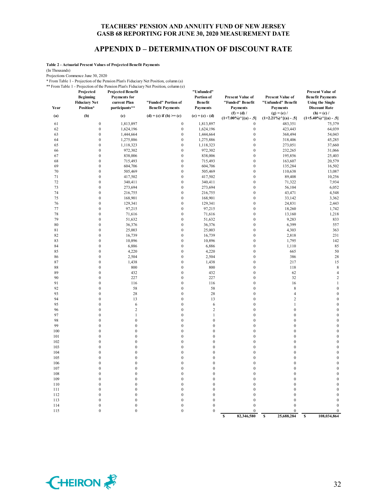#### **APPENDIX D – DETERMINATION OF DISCOUNT RATE**

**Table 2 - Actuarial Present Values of Projected Benefit Payments**

(In Thousands)

Projections Commence June 30, 2020

\* From Table 1 - Projection of the Pension Plan's Fiduciary Net Position, column (a) \*\* From Table 1 - Projection of the Pension Plan's Fiduciary Net Position, column (e)

| Projected<br><b>Beginning</b><br><b>Fiduciary Net</b><br>Position* | <b>Projected Benefit</b><br>Payments for<br>current Plan<br>participants**                                                                                                                                                                                                                                                                                                                                                                                                                                                                                                                                                                                                                                                                                             | "Funded" Portion of<br><b>Benefit Payments</b>                                                                                                                                                                                                                                                                                                                                                                                                                                                                                              | "Unfunded"<br>Portion of<br>Benefit<br><b>Payments</b>                                                                                                                                                                                                                                                                                                                                                                                                                                                                                                                                                                                                                                                                                                                           | <b>Present Value of</b><br>"Funded" Benefit<br>Payments                                                                                                                                                                                                                                                                                                                                                                                                                                                                                                                  | <b>Present Value of</b><br>"Unfunded" Benefit<br><b>Payments</b>                                                                                                                                                                                                                                                                                                                                                                                                                                                                                                                                                                                                                                                                                                                              | <b>Present Value of</b><br><b>Benefit Payments</b><br><b>Using the Single</b><br><b>Discount Rate</b>                                                                                                                                                                                                                                                                                                                                                                                                                                                             |
|--------------------------------------------------------------------|------------------------------------------------------------------------------------------------------------------------------------------------------------------------------------------------------------------------------------------------------------------------------------------------------------------------------------------------------------------------------------------------------------------------------------------------------------------------------------------------------------------------------------------------------------------------------------------------------------------------------------------------------------------------------------------------------------------------------------------------------------------------|---------------------------------------------------------------------------------------------------------------------------------------------------------------------------------------------------------------------------------------------------------------------------------------------------------------------------------------------------------------------------------------------------------------------------------------------------------------------------------------------------------------------------------------------|----------------------------------------------------------------------------------------------------------------------------------------------------------------------------------------------------------------------------------------------------------------------------------------------------------------------------------------------------------------------------------------------------------------------------------------------------------------------------------------------------------------------------------------------------------------------------------------------------------------------------------------------------------------------------------------------------------------------------------------------------------------------------------|--------------------------------------------------------------------------------------------------------------------------------------------------------------------------------------------------------------------------------------------------------------------------------------------------------------------------------------------------------------------------------------------------------------------------------------------------------------------------------------------------------------------------------------------------------------------------|-----------------------------------------------------------------------------------------------------------------------------------------------------------------------------------------------------------------------------------------------------------------------------------------------------------------------------------------------------------------------------------------------------------------------------------------------------------------------------------------------------------------------------------------------------------------------------------------------------------------------------------------------------------------------------------------------------------------------------------------------------------------------------------------------|-------------------------------------------------------------------------------------------------------------------------------------------------------------------------------------------------------------------------------------------------------------------------------------------------------------------------------------------------------------------------------------------------------------------------------------------------------------------------------------------------------------------------------------------------------------------|
| (b)                                                                | (c)                                                                                                                                                                                                                                                                                                                                                                                                                                                                                                                                                                                                                                                                                                                                                                    | $(d) = (c)$ if $(b) \geq (c)$                                                                                                                                                                                                                                                                                                                                                                                                                                                                                                               | $(e) = (c) - (d)$                                                                                                                                                                                                                                                                                                                                                                                                                                                                                                                                                                                                                                                                                                                                                                | $(1+7.00\%)$ <sup>^</sup> [(a) - .5]                                                                                                                                                                                                                                                                                                                                                                                                                                                                                                                                     | $(g) = (e) /$<br>$(1+2.21\%)$ <sup>^</sup> [(a) - .5]                                                                                                                                                                                                                                                                                                                                                                                                                                                                                                                                                                                                                                                                                                                                         | $(h) = (c) /$<br>$(1+5.40\%)$ <sup>^</sup> [(a) - .5]                                                                                                                                                                                                                                                                                                                                                                                                                                                                                                             |
| $\boldsymbol{0}$                                                   | 1,813,897                                                                                                                                                                                                                                                                                                                                                                                                                                                                                                                                                                                                                                                                                                                                                              | $\boldsymbol{0}$                                                                                                                                                                                                                                                                                                                                                                                                                                                                                                                            | 1,813,897                                                                                                                                                                                                                                                                                                                                                                                                                                                                                                                                                                                                                                                                                                                                                                        | $\boldsymbol{0}$                                                                                                                                                                                                                                                                                                                                                                                                                                                                                                                                                         | 483,351                                                                                                                                                                                                                                                                                                                                                                                                                                                                                                                                                                                                                                                                                                                                                                                       | 75,379                                                                                                                                                                                                                                                                                                                                                                                                                                                                                                                                                            |
| $\boldsymbol{0}$                                                   | 1,624,196                                                                                                                                                                                                                                                                                                                                                                                                                                                                                                                                                                                                                                                                                                                                                              | $\boldsymbol{0}$                                                                                                                                                                                                                                                                                                                                                                                                                                                                                                                            | 1,624,196                                                                                                                                                                                                                                                                                                                                                                                                                                                                                                                                                                                                                                                                                                                                                                        | $\boldsymbol{0}$                                                                                                                                                                                                                                                                                                                                                                                                                                                                                                                                                         | 423,443                                                                                                                                                                                                                                                                                                                                                                                                                                                                                                                                                                                                                                                                                                                                                                                       | 64,039                                                                                                                                                                                                                                                                                                                                                                                                                                                                                                                                                            |
|                                                                    | 1,444,664                                                                                                                                                                                                                                                                                                                                                                                                                                                                                                                                                                                                                                                                                                                                                              |                                                                                                                                                                                                                                                                                                                                                                                                                                                                                                                                             | 1,444,664                                                                                                                                                                                                                                                                                                                                                                                                                                                                                                                                                                                                                                                                                                                                                                        |                                                                                                                                                                                                                                                                                                                                                                                                                                                                                                                                                                          | 368,494                                                                                                                                                                                                                                                                                                                                                                                                                                                                                                                                                                                                                                                                                                                                                                                       | 54,043                                                                                                                                                                                                                                                                                                                                                                                                                                                                                                                                                            |
|                                                                    | 1,275,886                                                                                                                                                                                                                                                                                                                                                                                                                                                                                                                                                                                                                                                                                                                                                              |                                                                                                                                                                                                                                                                                                                                                                                                                                                                                                                                             | 1,275,886                                                                                                                                                                                                                                                                                                                                                                                                                                                                                                                                                                                                                                                                                                                                                                        |                                                                                                                                                                                                                                                                                                                                                                                                                                                                                                                                                                          | 318,406                                                                                                                                                                                                                                                                                                                                                                                                                                                                                                                                                                                                                                                                                                                                                                                       | 45,285                                                                                                                                                                                                                                                                                                                                                                                                                                                                                                                                                            |
|                                                                    |                                                                                                                                                                                                                                                                                                                                                                                                                                                                                                                                                                                                                                                                                                                                                                        |                                                                                                                                                                                                                                                                                                                                                                                                                                                                                                                                             |                                                                                                                                                                                                                                                                                                                                                                                                                                                                                                                                                                                                                                                                                                                                                                                  |                                                                                                                                                                                                                                                                                                                                                                                                                                                                                                                                                                          |                                                                                                                                                                                                                                                                                                                                                                                                                                                                                                                                                                                                                                                                                                                                                                                               | 37,660                                                                                                                                                                                                                                                                                                                                                                                                                                                                                                                                                            |
| $\boldsymbol{0}$                                                   | 972,302                                                                                                                                                                                                                                                                                                                                                                                                                                                                                                                                                                                                                                                                                                                                                                | $\mathbf{0}$                                                                                                                                                                                                                                                                                                                                                                                                                                                                                                                                | 972,302                                                                                                                                                                                                                                                                                                                                                                                                                                                                                                                                                                                                                                                                                                                                                                          | $\mathbf{0}$                                                                                                                                                                                                                                                                                                                                                                                                                                                                                                                                                             | 232,265                                                                                                                                                                                                                                                                                                                                                                                                                                                                                                                                                                                                                                                                                                                                                                                       | 31,066                                                                                                                                                                                                                                                                                                                                                                                                                                                                                                                                                            |
|                                                                    |                                                                                                                                                                                                                                                                                                                                                                                                                                                                                                                                                                                                                                                                                                                                                                        |                                                                                                                                                                                                                                                                                                                                                                                                                                                                                                                                             |                                                                                                                                                                                                                                                                                                                                                                                                                                                                                                                                                                                                                                                                                                                                                                                  |                                                                                                                                                                                                                                                                                                                                                                                                                                                                                                                                                                          |                                                                                                                                                                                                                                                                                                                                                                                                                                                                                                                                                                                                                                                                                                                                                                                               | 25,403                                                                                                                                                                                                                                                                                                                                                                                                                                                                                                                                                            |
|                                                                    |                                                                                                                                                                                                                                                                                                                                                                                                                                                                                                                                                                                                                                                                                                                                                                        |                                                                                                                                                                                                                                                                                                                                                                                                                                                                                                                                             |                                                                                                                                                                                                                                                                                                                                                                                                                                                                                                                                                                                                                                                                                                                                                                                  |                                                                                                                                                                                                                                                                                                                                                                                                                                                                                                                                                                          |                                                                                                                                                                                                                                                                                                                                                                                                                                                                                                                                                                                                                                                                                                                                                                                               | 20,579                                                                                                                                                                                                                                                                                                                                                                                                                                                                                                                                                            |
|                                                                    |                                                                                                                                                                                                                                                                                                                                                                                                                                                                                                                                                                                                                                                                                                                                                                        |                                                                                                                                                                                                                                                                                                                                                                                                                                                                                                                                             |                                                                                                                                                                                                                                                                                                                                                                                                                                                                                                                                                                                                                                                                                                                                                                                  |                                                                                                                                                                                                                                                                                                                                                                                                                                                                                                                                                                          |                                                                                                                                                                                                                                                                                                                                                                                                                                                                                                                                                                                                                                                                                                                                                                                               | 16,502                                                                                                                                                                                                                                                                                                                                                                                                                                                                                                                                                            |
|                                                                    |                                                                                                                                                                                                                                                                                                                                                                                                                                                                                                                                                                                                                                                                                                                                                                        |                                                                                                                                                                                                                                                                                                                                                                                                                                                                                                                                             |                                                                                                                                                                                                                                                                                                                                                                                                                                                                                                                                                                                                                                                                                                                                                                                  |                                                                                                                                                                                                                                                                                                                                                                                                                                                                                                                                                                          |                                                                                                                                                                                                                                                                                                                                                                                                                                                                                                                                                                                                                                                                                                                                                                                               | 13,087                                                                                                                                                                                                                                                                                                                                                                                                                                                                                                                                                            |
|                                                                    |                                                                                                                                                                                                                                                                                                                                                                                                                                                                                                                                                                                                                                                                                                                                                                        |                                                                                                                                                                                                                                                                                                                                                                                                                                                                                                                                             |                                                                                                                                                                                                                                                                                                                                                                                                                                                                                                                                                                                                                                                                                                                                                                                  |                                                                                                                                                                                                                                                                                                                                                                                                                                                                                                                                                                          |                                                                                                                                                                                                                                                                                                                                                                                                                                                                                                                                                                                                                                                                                                                                                                                               | 10,256                                                                                                                                                                                                                                                                                                                                                                                                                                                                                                                                                            |
|                                                                    |                                                                                                                                                                                                                                                                                                                                                                                                                                                                                                                                                                                                                                                                                                                                                                        |                                                                                                                                                                                                                                                                                                                                                                                                                                                                                                                                             |                                                                                                                                                                                                                                                                                                                                                                                                                                                                                                                                                                                                                                                                                                                                                                                  |                                                                                                                                                                                                                                                                                                                                                                                                                                                                                                                                                                          |                                                                                                                                                                                                                                                                                                                                                                                                                                                                                                                                                                                                                                                                                                                                                                                               | 7,934                                                                                                                                                                                                                                                                                                                                                                                                                                                                                                                                                             |
|                                                                    |                                                                                                                                                                                                                                                                                                                                                                                                                                                                                                                                                                                                                                                                                                                                                                        |                                                                                                                                                                                                                                                                                                                                                                                                                                                                                                                                             |                                                                                                                                                                                                                                                                                                                                                                                                                                                                                                                                                                                                                                                                                                                                                                                  |                                                                                                                                                                                                                                                                                                                                                                                                                                                                                                                                                                          |                                                                                                                                                                                                                                                                                                                                                                                                                                                                                                                                                                                                                                                                                                                                                                                               | 6,052                                                                                                                                                                                                                                                                                                                                                                                                                                                                                                                                                             |
|                                                                    |                                                                                                                                                                                                                                                                                                                                                                                                                                                                                                                                                                                                                                                                                                                                                                        |                                                                                                                                                                                                                                                                                                                                                                                                                                                                                                                                             |                                                                                                                                                                                                                                                                                                                                                                                                                                                                                                                                                                                                                                                                                                                                                                                  |                                                                                                                                                                                                                                                                                                                                                                                                                                                                                                                                                                          |                                                                                                                                                                                                                                                                                                                                                                                                                                                                                                                                                                                                                                                                                                                                                                                               | 4,548                                                                                                                                                                                                                                                                                                                                                                                                                                                                                                                                                             |
|                                                                    |                                                                                                                                                                                                                                                                                                                                                                                                                                                                                                                                                                                                                                                                                                                                                                        |                                                                                                                                                                                                                                                                                                                                                                                                                                                                                                                                             |                                                                                                                                                                                                                                                                                                                                                                                                                                                                                                                                                                                                                                                                                                                                                                                  |                                                                                                                                                                                                                                                                                                                                                                                                                                                                                                                                                                          |                                                                                                                                                                                                                                                                                                                                                                                                                                                                                                                                                                                                                                                                                                                                                                                               | 3,362                                                                                                                                                                                                                                                                                                                                                                                                                                                                                                                                                             |
|                                                                    |                                                                                                                                                                                                                                                                                                                                                                                                                                                                                                                                                                                                                                                                                                                                                                        |                                                                                                                                                                                                                                                                                                                                                                                                                                                                                                                                             |                                                                                                                                                                                                                                                                                                                                                                                                                                                                                                                                                                                                                                                                                                                                                                                  |                                                                                                                                                                                                                                                                                                                                                                                                                                                                                                                                                                          |                                                                                                                                                                                                                                                                                                                                                                                                                                                                                                                                                                                                                                                                                                                                                                                               | 2,443                                                                                                                                                                                                                                                                                                                                                                                                                                                                                                                                                             |
|                                                                    |                                                                                                                                                                                                                                                                                                                                                                                                                                                                                                                                                                                                                                                                                                                                                                        |                                                                                                                                                                                                                                                                                                                                                                                                                                                                                                                                             |                                                                                                                                                                                                                                                                                                                                                                                                                                                                                                                                                                                                                                                                                                                                                                                  |                                                                                                                                                                                                                                                                                                                                                                                                                                                                                                                                                                          |                                                                                                                                                                                                                                                                                                                                                                                                                                                                                                                                                                                                                                                                                                                                                                                               | 1,742<br>1,218                                                                                                                                                                                                                                                                                                                                                                                                                                                                                                                                                    |
|                                                                    |                                                                                                                                                                                                                                                                                                                                                                                                                                                                                                                                                                                                                                                                                                                                                                        |                                                                                                                                                                                                                                                                                                                                                                                                                                                                                                                                             |                                                                                                                                                                                                                                                                                                                                                                                                                                                                                                                                                                                                                                                                                                                                                                                  |                                                                                                                                                                                                                                                                                                                                                                                                                                                                                                                                                                          |                                                                                                                                                                                                                                                                                                                                                                                                                                                                                                                                                                                                                                                                                                                                                                                               | 833                                                                                                                                                                                                                                                                                                                                                                                                                                                                                                                                                               |
|                                                                    |                                                                                                                                                                                                                                                                                                                                                                                                                                                                                                                                                                                                                                                                                                                                                                        |                                                                                                                                                                                                                                                                                                                                                                                                                                                                                                                                             |                                                                                                                                                                                                                                                                                                                                                                                                                                                                                                                                                                                                                                                                                                                                                                                  |                                                                                                                                                                                                                                                                                                                                                                                                                                                                                                                                                                          |                                                                                                                                                                                                                                                                                                                                                                                                                                                                                                                                                                                                                                                                                                                                                                                               | 557                                                                                                                                                                                                                                                                                                                                                                                                                                                                                                                                                               |
|                                                                    |                                                                                                                                                                                                                                                                                                                                                                                                                                                                                                                                                                                                                                                                                                                                                                        |                                                                                                                                                                                                                                                                                                                                                                                                                                                                                                                                             |                                                                                                                                                                                                                                                                                                                                                                                                                                                                                                                                                                                                                                                                                                                                                                                  |                                                                                                                                                                                                                                                                                                                                                                                                                                                                                                                                                                          |                                                                                                                                                                                                                                                                                                                                                                                                                                                                                                                                                                                                                                                                                                                                                                                               | 363                                                                                                                                                                                                                                                                                                                                                                                                                                                                                                                                                               |
|                                                                    |                                                                                                                                                                                                                                                                                                                                                                                                                                                                                                                                                                                                                                                                                                                                                                        |                                                                                                                                                                                                                                                                                                                                                                                                                                                                                                                                             |                                                                                                                                                                                                                                                                                                                                                                                                                                                                                                                                                                                                                                                                                                                                                                                  |                                                                                                                                                                                                                                                                                                                                                                                                                                                                                                                                                                          |                                                                                                                                                                                                                                                                                                                                                                                                                                                                                                                                                                                                                                                                                                                                                                                               | 231                                                                                                                                                                                                                                                                                                                                                                                                                                                                                                                                                               |
|                                                                    |                                                                                                                                                                                                                                                                                                                                                                                                                                                                                                                                                                                                                                                                                                                                                                        |                                                                                                                                                                                                                                                                                                                                                                                                                                                                                                                                             |                                                                                                                                                                                                                                                                                                                                                                                                                                                                                                                                                                                                                                                                                                                                                                                  |                                                                                                                                                                                                                                                                                                                                                                                                                                                                                                                                                                          |                                                                                                                                                                                                                                                                                                                                                                                                                                                                                                                                                                                                                                                                                                                                                                                               | 142                                                                                                                                                                                                                                                                                                                                                                                                                                                                                                                                                               |
|                                                                    |                                                                                                                                                                                                                                                                                                                                                                                                                                                                                                                                                                                                                                                                                                                                                                        |                                                                                                                                                                                                                                                                                                                                                                                                                                                                                                                                             |                                                                                                                                                                                                                                                                                                                                                                                                                                                                                                                                                                                                                                                                                                                                                                                  |                                                                                                                                                                                                                                                                                                                                                                                                                                                                                                                                                                          |                                                                                                                                                                                                                                                                                                                                                                                                                                                                                                                                                                                                                                                                                                                                                                                               | 85                                                                                                                                                                                                                                                                                                                                                                                                                                                                                                                                                                |
|                                                                    |                                                                                                                                                                                                                                                                                                                                                                                                                                                                                                                                                                                                                                                                                                                                                                        |                                                                                                                                                                                                                                                                                                                                                                                                                                                                                                                                             |                                                                                                                                                                                                                                                                                                                                                                                                                                                                                                                                                                                                                                                                                                                                                                                  |                                                                                                                                                                                                                                                                                                                                                                                                                                                                                                                                                                          |                                                                                                                                                                                                                                                                                                                                                                                                                                                                                                                                                                                                                                                                                                                                                                                               | 50                                                                                                                                                                                                                                                                                                                                                                                                                                                                                                                                                                |
|                                                                    |                                                                                                                                                                                                                                                                                                                                                                                                                                                                                                                                                                                                                                                                                                                                                                        |                                                                                                                                                                                                                                                                                                                                                                                                                                                                                                                                             |                                                                                                                                                                                                                                                                                                                                                                                                                                                                                                                                                                                                                                                                                                                                                                                  |                                                                                                                                                                                                                                                                                                                                                                                                                                                                                                                                                                          |                                                                                                                                                                                                                                                                                                                                                                                                                                                                                                                                                                                                                                                                                                                                                                                               | 28                                                                                                                                                                                                                                                                                                                                                                                                                                                                                                                                                                |
| $\boldsymbol{0}$                                                   |                                                                                                                                                                                                                                                                                                                                                                                                                                                                                                                                                                                                                                                                                                                                                                        | $\boldsymbol{0}$                                                                                                                                                                                                                                                                                                                                                                                                                                                                                                                            |                                                                                                                                                                                                                                                                                                                                                                                                                                                                                                                                                                                                                                                                                                                                                                                  | $\boldsymbol{0}$                                                                                                                                                                                                                                                                                                                                                                                                                                                                                                                                                         |                                                                                                                                                                                                                                                                                                                                                                                                                                                                                                                                                                                                                                                                                                                                                                                               | 15                                                                                                                                                                                                                                                                                                                                                                                                                                                                                                                                                                |
| $\overline{0}$                                                     |                                                                                                                                                                                                                                                                                                                                                                                                                                                                                                                                                                                                                                                                                                                                                                        | $\mathbf{0}$                                                                                                                                                                                                                                                                                                                                                                                                                                                                                                                                |                                                                                                                                                                                                                                                                                                                                                                                                                                                                                                                                                                                                                                                                                                                                                                                  | $\mathbf{0}$                                                                                                                                                                                                                                                                                                                                                                                                                                                                                                                                                             |                                                                                                                                                                                                                                                                                                                                                                                                                                                                                                                                                                                                                                                                                                                                                                                               | $\,$ 8 $\,$                                                                                                                                                                                                                                                                                                                                                                                                                                                                                                                                                       |
| $\mathbf{0}$                                                       | 432                                                                                                                                                                                                                                                                                                                                                                                                                                                                                                                                                                                                                                                                                                                                                                    | $\boldsymbol{0}$                                                                                                                                                                                                                                                                                                                                                                                                                                                                                                                            | 432                                                                                                                                                                                                                                                                                                                                                                                                                                                                                                                                                                                                                                                                                                                                                                              | $\boldsymbol{0}$                                                                                                                                                                                                                                                                                                                                                                                                                                                                                                                                                         | 62                                                                                                                                                                                                                                                                                                                                                                                                                                                                                                                                                                                                                                                                                                                                                                                            | $\overline{4}$                                                                                                                                                                                                                                                                                                                                                                                                                                                                                                                                                    |
| $\mathbf{0}$                                                       | 227                                                                                                                                                                                                                                                                                                                                                                                                                                                                                                                                                                                                                                                                                                                                                                    | $\boldsymbol{0}$                                                                                                                                                                                                                                                                                                                                                                                                                                                                                                                            | 227                                                                                                                                                                                                                                                                                                                                                                                                                                                                                                                                                                                                                                                                                                                                                                              | $\boldsymbol{0}$                                                                                                                                                                                                                                                                                                                                                                                                                                                                                                                                                         | 32                                                                                                                                                                                                                                                                                                                                                                                                                                                                                                                                                                                                                                                                                                                                                                                            | $\overline{2}$                                                                                                                                                                                                                                                                                                                                                                                                                                                                                                                                                    |
| $\boldsymbol{0}$                                                   | 116                                                                                                                                                                                                                                                                                                                                                                                                                                                                                                                                                                                                                                                                                                                                                                    | $\boldsymbol{0}$                                                                                                                                                                                                                                                                                                                                                                                                                                                                                                                            | 116                                                                                                                                                                                                                                                                                                                                                                                                                                                                                                                                                                                                                                                                                                                                                                              | $\boldsymbol{0}$                                                                                                                                                                                                                                                                                                                                                                                                                                                                                                                                                         | 16                                                                                                                                                                                                                                                                                                                                                                                                                                                                                                                                                                                                                                                                                                                                                                                            | $\mathbf{1}$                                                                                                                                                                                                                                                                                                                                                                                                                                                                                                                                                      |
| $\overline{0}$                                                     | 58                                                                                                                                                                                                                                                                                                                                                                                                                                                                                                                                                                                                                                                                                                                                                                     | $\mathbf{0}$                                                                                                                                                                                                                                                                                                                                                                                                                                                                                                                                | 58                                                                                                                                                                                                                                                                                                                                                                                                                                                                                                                                                                                                                                                                                                                                                                               | $\mathbf{0}$                                                                                                                                                                                                                                                                                                                                                                                                                                                                                                                                                             | $\,$ 8 $\,$                                                                                                                                                                                                                                                                                                                                                                                                                                                                                                                                                                                                                                                                                                                                                                                   | $\overline{0}$                                                                                                                                                                                                                                                                                                                                                                                                                                                                                                                                                    |
| $\mathbf{0}$                                                       | 28                                                                                                                                                                                                                                                                                                                                                                                                                                                                                                                                                                                                                                                                                                                                                                     | $\boldsymbol{0}$                                                                                                                                                                                                                                                                                                                                                                                                                                                                                                                            | 28                                                                                                                                                                                                                                                                                                                                                                                                                                                                                                                                                                                                                                                                                                                                                                               | $\boldsymbol{0}$                                                                                                                                                                                                                                                                                                                                                                                                                                                                                                                                                         | $\overline{4}$                                                                                                                                                                                                                                                                                                                                                                                                                                                                                                                                                                                                                                                                                                                                                                                | $\mathbf{0}$                                                                                                                                                                                                                                                                                                                                                                                                                                                                                                                                                      |
| $\mathbf{0}$                                                       | 13                                                                                                                                                                                                                                                                                                                                                                                                                                                                                                                                                                                                                                                                                                                                                                     | $\boldsymbol{0}$                                                                                                                                                                                                                                                                                                                                                                                                                                                                                                                            | 13                                                                                                                                                                                                                                                                                                                                                                                                                                                                                                                                                                                                                                                                                                                                                                               | $\boldsymbol{0}$                                                                                                                                                                                                                                                                                                                                                                                                                                                                                                                                                         | $\overline{c}$                                                                                                                                                                                                                                                                                                                                                                                                                                                                                                                                                                                                                                                                                                                                                                                | $\boldsymbol{0}$                                                                                                                                                                                                                                                                                                                                                                                                                                                                                                                                                  |
| $\boldsymbol{0}$                                                   | 6                                                                                                                                                                                                                                                                                                                                                                                                                                                                                                                                                                                                                                                                                                                                                                      | $\boldsymbol{0}$                                                                                                                                                                                                                                                                                                                                                                                                                                                                                                                            | 6                                                                                                                                                                                                                                                                                                                                                                                                                                                                                                                                                                                                                                                                                                                                                                                | $\boldsymbol{0}$                                                                                                                                                                                                                                                                                                                                                                                                                                                                                                                                                         | $\mathbf{1}$                                                                                                                                                                                                                                                                                                                                                                                                                                                                                                                                                                                                                                                                                                                                                                                  | $\boldsymbol{0}$                                                                                                                                                                                                                                                                                                                                                                                                                                                                                                                                                  |
| $\overline{0}$                                                     | $\overline{c}$                                                                                                                                                                                                                                                                                                                                                                                                                                                                                                                                                                                                                                                                                                                                                         | $\mathbf{0}$                                                                                                                                                                                                                                                                                                                                                                                                                                                                                                                                | $\overline{c}$                                                                                                                                                                                                                                                                                                                                                                                                                                                                                                                                                                                                                                                                                                                                                                   | $\mathbf{0}$                                                                                                                                                                                                                                                                                                                                                                                                                                                                                                                                                             | $\boldsymbol{0}$                                                                                                                                                                                                                                                                                                                                                                                                                                                                                                                                                                                                                                                                                                                                                                              | $\mathbf{0}$                                                                                                                                                                                                                                                                                                                                                                                                                                                                                                                                                      |
|                                                                    |                                                                                                                                                                                                                                                                                                                                                                                                                                                                                                                                                                                                                                                                                                                                                                        |                                                                                                                                                                                                                                                                                                                                                                                                                                                                                                                                             |                                                                                                                                                                                                                                                                                                                                                                                                                                                                                                                                                                                                                                                                                                                                                                                  |                                                                                                                                                                                                                                                                                                                                                                                                                                                                                                                                                                          |                                                                                                                                                                                                                                                                                                                                                                                                                                                                                                                                                                                                                                                                                                                                                                                               | $\mathbf{0}$                                                                                                                                                                                                                                                                                                                                                                                                                                                                                                                                                      |
|                                                                    |                                                                                                                                                                                                                                                                                                                                                                                                                                                                                                                                                                                                                                                                                                                                                                        |                                                                                                                                                                                                                                                                                                                                                                                                                                                                                                                                             |                                                                                                                                                                                                                                                                                                                                                                                                                                                                                                                                                                                                                                                                                                                                                                                  |                                                                                                                                                                                                                                                                                                                                                                                                                                                                                                                                                                          |                                                                                                                                                                                                                                                                                                                                                                                                                                                                                                                                                                                                                                                                                                                                                                                               | $\boldsymbol{0}$                                                                                                                                                                                                                                                                                                                                                                                                                                                                                                                                                  |
|                                                                    |                                                                                                                                                                                                                                                                                                                                                                                                                                                                                                                                                                                                                                                                                                                                                                        |                                                                                                                                                                                                                                                                                                                                                                                                                                                                                                                                             |                                                                                                                                                                                                                                                                                                                                                                                                                                                                                                                                                                                                                                                                                                                                                                                  |                                                                                                                                                                                                                                                                                                                                                                                                                                                                                                                                                                          |                                                                                                                                                                                                                                                                                                                                                                                                                                                                                                                                                                                                                                                                                                                                                                                               | $\boldsymbol{0}$                                                                                                                                                                                                                                                                                                                                                                                                                                                                                                                                                  |
|                                                                    |                                                                                                                                                                                                                                                                                                                                                                                                                                                                                                                                                                                                                                                                                                                                                                        |                                                                                                                                                                                                                                                                                                                                                                                                                                                                                                                                             |                                                                                                                                                                                                                                                                                                                                                                                                                                                                                                                                                                                                                                                                                                                                                                                  |                                                                                                                                                                                                                                                                                                                                                                                                                                                                                                                                                                          |                                                                                                                                                                                                                                                                                                                                                                                                                                                                                                                                                                                                                                                                                                                                                                                               | $\boldsymbol{0}$                                                                                                                                                                                                                                                                                                                                                                                                                                                                                                                                                  |
|                                                                    |                                                                                                                                                                                                                                                                                                                                                                                                                                                                                                                                                                                                                                                                                                                                                                        |                                                                                                                                                                                                                                                                                                                                                                                                                                                                                                                                             |                                                                                                                                                                                                                                                                                                                                                                                                                                                                                                                                                                                                                                                                                                                                                                                  |                                                                                                                                                                                                                                                                                                                                                                                                                                                                                                                                                                          |                                                                                                                                                                                                                                                                                                                                                                                                                                                                                                                                                                                                                                                                                                                                                                                               | $\boldsymbol{0}$                                                                                                                                                                                                                                                                                                                                                                                                                                                                                                                                                  |
|                                                                    |                                                                                                                                                                                                                                                                                                                                                                                                                                                                                                                                                                                                                                                                                                                                                                        |                                                                                                                                                                                                                                                                                                                                                                                                                                                                                                                                             |                                                                                                                                                                                                                                                                                                                                                                                                                                                                                                                                                                                                                                                                                                                                                                                  |                                                                                                                                                                                                                                                                                                                                                                                                                                                                                                                                                                          |                                                                                                                                                                                                                                                                                                                                                                                                                                                                                                                                                                                                                                                                                                                                                                                               | $\boldsymbol{0}$                                                                                                                                                                                                                                                                                                                                                                                                                                                                                                                                                  |
|                                                                    |                                                                                                                                                                                                                                                                                                                                                                                                                                                                                                                                                                                                                                                                                                                                                                        |                                                                                                                                                                                                                                                                                                                                                                                                                                                                                                                                             |                                                                                                                                                                                                                                                                                                                                                                                                                                                                                                                                                                                                                                                                                                                                                                                  |                                                                                                                                                                                                                                                                                                                                                                                                                                                                                                                                                                          |                                                                                                                                                                                                                                                                                                                                                                                                                                                                                                                                                                                                                                                                                                                                                                                               | $\mathbf{0}$<br>$\mathbf{0}$                                                                                                                                                                                                                                                                                                                                                                                                                                                                                                                                      |
|                                                                    |                                                                                                                                                                                                                                                                                                                                                                                                                                                                                                                                                                                                                                                                                                                                                                        |                                                                                                                                                                                                                                                                                                                                                                                                                                                                                                                                             |                                                                                                                                                                                                                                                                                                                                                                                                                                                                                                                                                                                                                                                                                                                                                                                  |                                                                                                                                                                                                                                                                                                                                                                                                                                                                                                                                                                          |                                                                                                                                                                                                                                                                                                                                                                                                                                                                                                                                                                                                                                                                                                                                                                                               |                                                                                                                                                                                                                                                                                                                                                                                                                                                                                                                                                                   |
|                                                                    |                                                                                                                                                                                                                                                                                                                                                                                                                                                                                                                                                                                                                                                                                                                                                                        |                                                                                                                                                                                                                                                                                                                                                                                                                                                                                                                                             |                                                                                                                                                                                                                                                                                                                                                                                                                                                                                                                                                                                                                                                                                                                                                                                  |                                                                                                                                                                                                                                                                                                                                                                                                                                                                                                                                                                          |                                                                                                                                                                                                                                                                                                                                                                                                                                                                                                                                                                                                                                                                                                                                                                                               | $\boldsymbol{0}$<br>$\boldsymbol{0}$                                                                                                                                                                                                                                                                                                                                                                                                                                                                                                                              |
|                                                                    |                                                                                                                                                                                                                                                                                                                                                                                                                                                                                                                                                                                                                                                                                                                                                                        |                                                                                                                                                                                                                                                                                                                                                                                                                                                                                                                                             |                                                                                                                                                                                                                                                                                                                                                                                                                                                                                                                                                                                                                                                                                                                                                                                  |                                                                                                                                                                                                                                                                                                                                                                                                                                                                                                                                                                          |                                                                                                                                                                                                                                                                                                                                                                                                                                                                                                                                                                                                                                                                                                                                                                                               | $\mathbf{0}$                                                                                                                                                                                                                                                                                                                                                                                                                                                                                                                                                      |
|                                                                    |                                                                                                                                                                                                                                                                                                                                                                                                                                                                                                                                                                                                                                                                                                                                                                        |                                                                                                                                                                                                                                                                                                                                                                                                                                                                                                                                             |                                                                                                                                                                                                                                                                                                                                                                                                                                                                                                                                                                                                                                                                                                                                                                                  |                                                                                                                                                                                                                                                                                                                                                                                                                                                                                                                                                                          |                                                                                                                                                                                                                                                                                                                                                                                                                                                                                                                                                                                                                                                                                                                                                                                               | $\boldsymbol{0}$                                                                                                                                                                                                                                                                                                                                                                                                                                                                                                                                                  |
|                                                                    |                                                                                                                                                                                                                                                                                                                                                                                                                                                                                                                                                                                                                                                                                                                                                                        |                                                                                                                                                                                                                                                                                                                                                                                                                                                                                                                                             |                                                                                                                                                                                                                                                                                                                                                                                                                                                                                                                                                                                                                                                                                                                                                                                  |                                                                                                                                                                                                                                                                                                                                                                                                                                                                                                                                                                          |                                                                                                                                                                                                                                                                                                                                                                                                                                                                                                                                                                                                                                                                                                                                                                                               | $\boldsymbol{0}$                                                                                                                                                                                                                                                                                                                                                                                                                                                                                                                                                  |
|                                                                    |                                                                                                                                                                                                                                                                                                                                                                                                                                                                                                                                                                                                                                                                                                                                                                        |                                                                                                                                                                                                                                                                                                                                                                                                                                                                                                                                             |                                                                                                                                                                                                                                                                                                                                                                                                                                                                                                                                                                                                                                                                                                                                                                                  |                                                                                                                                                                                                                                                                                                                                                                                                                                                                                                                                                                          |                                                                                                                                                                                                                                                                                                                                                                                                                                                                                                                                                                                                                                                                                                                                                                                               | $\boldsymbol{0}$                                                                                                                                                                                                                                                                                                                                                                                                                                                                                                                                                  |
|                                                                    |                                                                                                                                                                                                                                                                                                                                                                                                                                                                                                                                                                                                                                                                                                                                                                        |                                                                                                                                                                                                                                                                                                                                                                                                                                                                                                                                             |                                                                                                                                                                                                                                                                                                                                                                                                                                                                                                                                                                                                                                                                                                                                                                                  |                                                                                                                                                                                                                                                                                                                                                                                                                                                                                                                                                                          |                                                                                                                                                                                                                                                                                                                                                                                                                                                                                                                                                                                                                                                                                                                                                                                               | $\mathbf{0}$                                                                                                                                                                                                                                                                                                                                                                                                                                                                                                                                                      |
|                                                                    |                                                                                                                                                                                                                                                                                                                                                                                                                                                                                                                                                                                                                                                                                                                                                                        |                                                                                                                                                                                                                                                                                                                                                                                                                                                                                                                                             |                                                                                                                                                                                                                                                                                                                                                                                                                                                                                                                                                                                                                                                                                                                                                                                  |                                                                                                                                                                                                                                                                                                                                                                                                                                                                                                                                                                          |                                                                                                                                                                                                                                                                                                                                                                                                                                                                                                                                                                                                                                                                                                                                                                                               | $\boldsymbol{0}$                                                                                                                                                                                                                                                                                                                                                                                                                                                                                                                                                  |
|                                                                    |                                                                                                                                                                                                                                                                                                                                                                                                                                                                                                                                                                                                                                                                                                                                                                        |                                                                                                                                                                                                                                                                                                                                                                                                                                                                                                                                             |                                                                                                                                                                                                                                                                                                                                                                                                                                                                                                                                                                                                                                                                                                                                                                                  |                                                                                                                                                                                                                                                                                                                                                                                                                                                                                                                                                                          |                                                                                                                                                                                                                                                                                                                                                                                                                                                                                                                                                                                                                                                                                                                                                                                               | $\boldsymbol{0}$                                                                                                                                                                                                                                                                                                                                                                                                                                                                                                                                                  |
| $\overline{0}$                                                     | $\overline{0}$                                                                                                                                                                                                                                                                                                                                                                                                                                                                                                                                                                                                                                                                                                                                                         | $\mathbf{0}$                                                                                                                                                                                                                                                                                                                                                                                                                                                                                                                                | $\mathbf{0}$                                                                                                                                                                                                                                                                                                                                                                                                                                                                                                                                                                                                                                                                                                                                                                     | $\mathbf{0}$                                                                                                                                                                                                                                                                                                                                                                                                                                                                                                                                                             | $\mathbf{0}$                                                                                                                                                                                                                                                                                                                                                                                                                                                                                                                                                                                                                                                                                                                                                                                  | $\mathbf{0}$                                                                                                                                                                                                                                                                                                                                                                                                                                                                                                                                                      |
| $\mathbf{0}$                                                       | $\theta$                                                                                                                                                                                                                                                                                                                                                                                                                                                                                                                                                                                                                                                                                                                                                               | $\theta$                                                                                                                                                                                                                                                                                                                                                                                                                                                                                                                                    | $\theta$                                                                                                                                                                                                                                                                                                                                                                                                                                                                                                                                                                                                                                                                                                                                                                         | $\theta$                                                                                                                                                                                                                                                                                                                                                                                                                                                                                                                                                                 | $\theta$                                                                                                                                                                                                                                                                                                                                                                                                                                                                                                                                                                                                                                                                                                                                                                                      | $\mathbf{0}$                                                                                                                                                                                                                                                                                                                                                                                                                                                                                                                                                      |
|                                                                    | $\boldsymbol{0}$<br>$\boldsymbol{0}$<br>$\boldsymbol{0}$<br>$\boldsymbol{0}$<br>$\boldsymbol{0}$<br>$\boldsymbol{0}$<br>$\overline{0}$<br>$\boldsymbol{0}$<br>$\mathbf{0}$<br>$\boldsymbol{0}$<br>$\boldsymbol{0}$<br>$\boldsymbol{0}$<br>$\boldsymbol{0}$<br>$\overline{0}$<br>$\boldsymbol{0}$<br>$\boldsymbol{0}$<br>$\boldsymbol{0}$<br>$\overline{0}$<br>$\boldsymbol{0}$<br>$\mathbf{0}$<br>$\boldsymbol{0}$<br>$\overline{0}$<br>$\boldsymbol{0}$<br>$\boldsymbol{0}$<br>$\boldsymbol{0}$<br>$\boldsymbol{0}$<br>$\mathbf{0}$<br>$\mathbf{0}$<br>$\mathbf{0}$<br>$\overline{0}$<br>$\mathbf{0}$<br>$\mathbf{0}$<br>$\boldsymbol{0}$<br>$\overline{0}$<br>$\boldsymbol{0}$<br>$\mathbf{0}$<br>$\boldsymbol{0}$<br>$\mathbf{0}$<br>$\overline{0}$<br>$\mathbf{0}$ | 1,118,323<br>838,006<br>715,493<br>604,706<br>505,469<br>417,502<br>340,411<br>273,694<br>216,755<br>168,901<br>129,341<br>97,215<br>71,616<br>51,632<br>36,376<br>25,003<br>16,739<br>10,896<br>6,886<br>4,220<br>2,504<br>1,438<br>800<br>$\mathbf{1}$<br>$\overline{0}$<br>0<br>$\mathbf{0}$<br>$\overline{0}$<br>$\boldsymbol{0}$<br>$\mathbf{0}$<br>$\boldsymbol{0}$<br>$\mathbf{0}$<br>$\boldsymbol{0}$<br>$\mathbf{0}$<br>$\boldsymbol{0}$<br>$\mathbf{0}$<br>$\boldsymbol{0}$<br>$\mathbf{0}$<br>$\overline{0}$<br>$\boldsymbol{0}$ | $\boldsymbol{0}$<br>$\boldsymbol{0}$<br>$\boldsymbol{0}$<br>$\mathbf{0}$<br>$\mathbf{0}$<br>$\boldsymbol{0}$<br>$\mathbf{0}$<br>$\boldsymbol{0}$<br>$\boldsymbol{0}$<br>$\boldsymbol{0}$<br>$\boldsymbol{0}$<br>$\boldsymbol{0}$<br>$\boldsymbol{0}$<br>$\mathbf{0}$<br>$\boldsymbol{0}$<br>$\boldsymbol{0}$<br>$\boldsymbol{0}$<br>$\mathbf{0}$<br>$\boldsymbol{0}$<br>$\boldsymbol{0}$<br>$\boldsymbol{0}$<br>$\mathbf{0}$<br>$\boldsymbol{0}$<br>$\mathbf{0}$<br>$\mathbf{0}$<br>$\boldsymbol{0}$<br>$\boldsymbol{0}$<br>$\boldsymbol{0}$<br>$\boldsymbol{0}$<br>$\mathbf{0}$<br>$\boldsymbol{0}$<br>$\boldsymbol{0}$<br>$\boldsymbol{0}$<br>$\mathbf{0}$<br>$\boldsymbol{0}$<br>$\boldsymbol{0}$<br>$\boldsymbol{0}$<br>$\mathbf{0}$<br>$\boldsymbol{0}$<br>$\boldsymbol{0}$ | 1,118,323<br>838,006<br>715,493<br>604,706<br>505,469<br>417,502<br>340,411<br>273,694<br>216,755<br>168,901<br>129,341<br>97,215<br>71,616<br>51,632<br>36,376<br>25,003<br>16,739<br>10,896<br>6,886<br>4,220<br>2,504<br>1,438<br>800<br>$\mathbf{1}$<br>$\boldsymbol{0}$<br>$\boldsymbol{0}$<br>$\boldsymbol{0}$<br>$\boldsymbol{0}$<br>$\boldsymbol{0}$<br>$\mathbf{0}$<br>$\boldsymbol{0}$<br>$\boldsymbol{0}$<br>$\boldsymbol{0}$<br>$\mathbf{0}$<br>$\boldsymbol{0}$<br>$\boldsymbol{0}$<br>$\boldsymbol{0}$<br>$\mathbf{0}$<br>$\boldsymbol{0}$<br>$\mathbf{0}$ | $(f) = (d) /$<br>$\boldsymbol{0}$<br>$\boldsymbol{0}$<br>$\boldsymbol{0}$<br>$\boldsymbol{0}$<br>$\boldsymbol{0}$<br>$\boldsymbol{0}$<br>$\mathbf{0}$<br>$\boldsymbol{0}$<br>$\boldsymbol{0}$<br>$\boldsymbol{0}$<br>$\boldsymbol{0}$<br>$\boldsymbol{0}$<br>$\boldsymbol{0}$<br>$\mathbf{0}$<br>$\boldsymbol{0}$<br>$\boldsymbol{0}$<br>$\boldsymbol{0}$<br>$\mathbf{0}$<br>$\mathbf{0}$<br>$\boldsymbol{0}$<br>$\boldsymbol{0}$<br>$\mathbf{0}$<br>$\mathbf{0}$<br>$\mathbf{0}$<br>$\boldsymbol{0}$<br>$\boldsymbol{0}$<br>$\mathbf{0}$<br>$\boldsymbol{0}$<br>$\boldsymbol{0}$<br>$\mathbf{0}$<br>$\boldsymbol{0}$<br>$\boldsymbol{0}$<br>$\boldsymbol{0}$<br>$\mathbf{0}$<br>$\boldsymbol{0}$<br>$\boldsymbol{0}$<br>$\boldsymbol{0}$<br>$\mathbf{0}$<br>$\mathbf{0}$<br>$\boldsymbol{0}$ | 273,051<br>195,856<br>163,607<br>135,284<br>110,638<br>89,408<br>71,322<br>56,104<br>43,471<br>33,142<br>24,831<br>18,260<br>13,160<br>9,283<br>6,399<br>4,303<br>2,818<br>1,795<br>1,110<br>665<br>386<br>217<br>118<br>$\boldsymbol{0}$<br>$\boldsymbol{0}$<br>$\boldsymbol{0}$<br>$\boldsymbol{0}$<br>$\boldsymbol{0}$<br>$\boldsymbol{0}$<br>$\mathbf{0}$<br>$\boldsymbol{0}$<br>$\boldsymbol{0}$<br>$\boldsymbol{0}$<br>$\mathbf{0}$<br>$\boldsymbol{0}$<br>$\boldsymbol{0}$<br>$\boldsymbol{0}$<br>$\boldsymbol{0}$<br>$\boldsymbol{0}$<br>$\boldsymbol{0}$ |

**82,346,580 8 82,346,580 8 82,5688,284 8 8 108,034,864** 

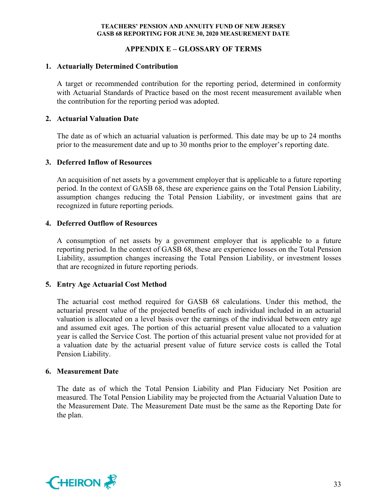## **APPENDIX E – GLOSSARY OF TERMS**

#### **1. Actuarially Determined Contribution**

A target or recommended contribution for the reporting period, determined in conformity with Actuarial Standards of Practice based on the most recent measurement available when the contribution for the reporting period was adopted.

## **2. Actuarial Valuation Date**

The date as of which an actuarial valuation is performed. This date may be up to 24 months prior to the measurement date and up to 30 months prior to the employer's reporting date.

## **3. Deferred Inflow of Resources**

An acquisition of net assets by a government employer that is applicable to a future reporting period. In the context of GASB 68, these are experience gains on the Total Pension Liability, assumption changes reducing the Total Pension Liability, or investment gains that are recognized in future reporting periods.

## **4. Deferred Outflow of Resources**

A consumption of net assets by a government employer that is applicable to a future reporting period. In the context of GASB 68, these are experience losses on the Total Pension Liability, assumption changes increasing the Total Pension Liability, or investment losses that are recognized in future reporting periods.

## **5. Entry Age Actuarial Cost Method**

The actuarial cost method required for GASB 68 calculations. Under this method, the actuarial present value of the projected benefits of each individual included in an actuarial valuation is allocated on a level basis over the earnings of the individual between entry age and assumed exit ages. The portion of this actuarial present value allocated to a valuation year is called the Service Cost. The portion of this actuarial present value not provided for at a valuation date by the actuarial present value of future service costs is called the Total Pension Liability.

#### **6. Measurement Date**

The date as of which the Total Pension Liability and Plan Fiduciary Net Position are measured. The Total Pension Liability may be projected from the Actuarial Valuation Date to the Measurement Date. The Measurement Date must be the same as the Reporting Date for the plan.